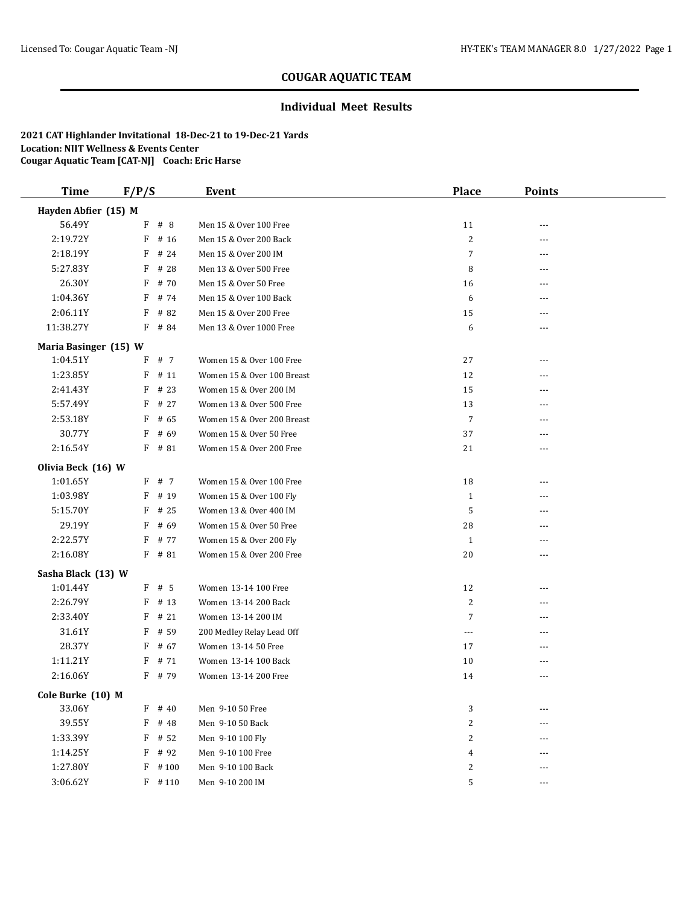### **Individual Meet Results**

| Time                  | F/P/S |           | Event                      | Place            | <b>Points</b>  |  |
|-----------------------|-------|-----------|----------------------------|------------------|----------------|--|
| Hayden Abfier (15) M  |       |           |                            |                  |                |  |
| 56.49Y                |       | $F$ # 8   | Men 15 & Over 100 Free     | 11               |                |  |
| 2:19.72Y              | F     | # 16      | Men 15 & Over 200 Back     | $\overline{c}$   | ---            |  |
| 2:18.19Y              | F     | # 24      | Men 15 & Over 200 IM       | $\overline{7}$   |                |  |
| 5:27.83Y              | F     | # 28      | Men 13 & Over 500 Free     | 8                | $- - -$        |  |
| 26.30Y                | F     | # 70      | Men 15 & Over 50 Free      | 16               | $\overline{a}$ |  |
| 1:04.36Y              | F     | # 74      | Men 15 & Over 100 Back     | 6                | ---            |  |
| 2:06.11Y              | F     | # 82      | Men 15 & Over 200 Free     | 15               | ---            |  |
| 11:38.27Y             |       | $F$ # 84  | Men 13 & Over 1000 Free    | 6                | ---            |  |
| Maria Basinger (15) W |       |           |                            |                  |                |  |
| 1:04.51Y              | F     | # 7       | Women 15 & Over 100 Free   | 27               | $---$          |  |
| 1:23.85Y              |       | $F$ # 11  | Women 15 & Over 100 Breast | 12               | ---            |  |
| 2:41.43Y              | F     | # 23      | Women 15 & Over 200 IM     | 15               |                |  |
| 5:57.49Y              | F     | # 27      | Women 13 & Over 500 Free   | 13               | ---            |  |
| 2:53.18Y              | F     | # 65      | Women 15 & Over 200 Breast | $\overline{7}$   | ---            |  |
| 30.77Y                | F     | # 69      | Women 15 & Over 50 Free    | 37               | $\overline{a}$ |  |
| 2:16.54Y              |       | $F$ # 81  | Women 15 & Over 200 Free   | 21               | ---            |  |
| Olivia Beck (16) W    |       |           |                            |                  |                |  |
| 1:01.65Y              |       | F # 7     | Women 15 & Over 100 Free   | 18               | $---$          |  |
| 1:03.98Y              | F     | # 19      | Women 15 & Over 100 Fly    | $\mathbf{1}$     | ---            |  |
| 5:15.70Y              | F     | # 25      | Women 13 & Over 400 IM     | 5                | ---            |  |
| 29.19Y                | F     | # 69      | Women 15 & Over 50 Free    | 28               |                |  |
| 2:22.57Y              | F     | # 77      | Women 15 & Over 200 Fly    | $\mathbf{1}$     | ---            |  |
| 2:16.08Y              |       | $F$ # 81  | Women 15 & Over 200 Free   | 20               | $- - -$        |  |
| Sasha Black (13) W    |       |           |                            |                  |                |  |
| 1:01.44Y              |       | $F$ # 5   | Women 13-14 100 Free       | 12               | ---            |  |
| 2:26.79Y              | F     | # 13      | Women 13-14 200 Back       | $\boldsymbol{2}$ | ---            |  |
| 2:33.40Y              | F     | #21       | Women 13-14 200 IM         | $\overline{7}$   | $- - -$        |  |
| 31.61Y                | F     | # 59      | 200 Medley Relay Lead Off  | $\cdots$         | ---            |  |
| 28.37Y                | F     | # 67      | Women 13-14 50 Free        | 17               | ---            |  |
| 1:11.21Y              | F     | # 71      | Women 13-14 100 Back       | 10               | ---            |  |
| 2:16.06Y              |       | F # 79    | Women 13-14 200 Free       | 14               | ---            |  |
| Cole Burke (10) M     |       |           |                            |                  |                |  |
| 33.06Y                | F     | # 40      | Men 9-10 50 Free           | 3                |                |  |
| 39.55Y                | F     | # 48      | Men 9-10 50 Back           | 2                |                |  |
| 1:33.39Y              |       | $F$ # 52  | Men 9-10 100 Fly           | 2                |                |  |
| 1:14.25Y              |       | $F$ # 92  | Men 9-10 100 Free          | 4                |                |  |
| 1:27.80Y              | F     | #100      | Men 9-10 100 Back          | 2                |                |  |
| 3:06.62Y              |       | $F$ # 110 | Men 9-10 200 IM            | 5                | ---            |  |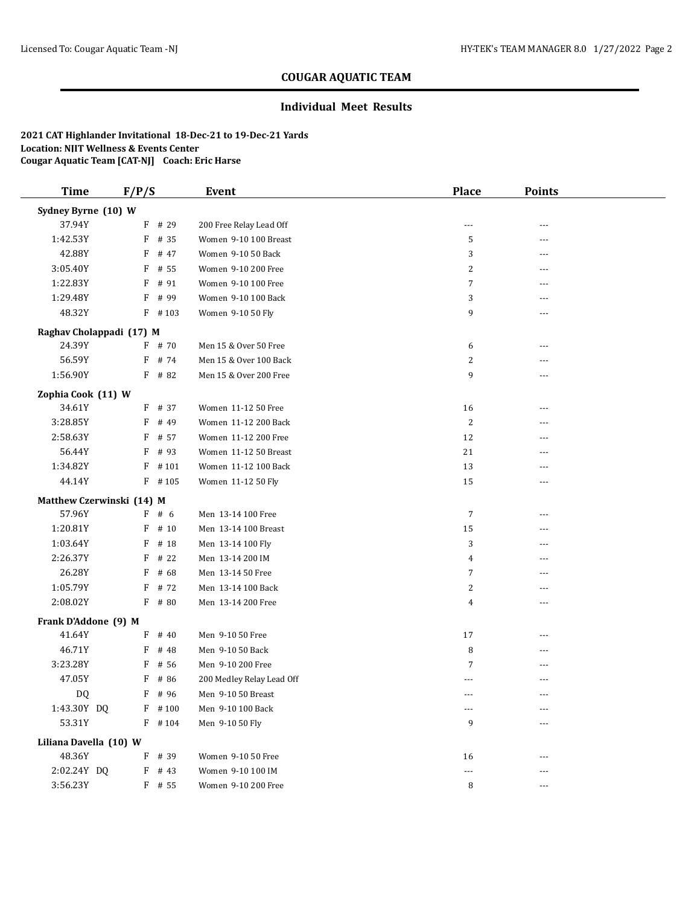### **Individual Meet Results**

| <b>Time</b>            | F/P/S                     |           | <b>Event</b>              | Place          | <b>Points</b> |  |
|------------------------|---------------------------|-----------|---------------------------|----------------|---------------|--|
| Sydney Byrne (10) W    |                           |           |                           |                |               |  |
| 37.94Y                 |                           | F # 29    | 200 Free Relay Lead Off   | $\cdots$       |               |  |
| 1:42.53Y               | F                         | # 35      | Women 9-10 100 Breast     | 5              | ---           |  |
| 42.88Y                 | F                         | # 47      | Women 9-10 50 Back        | 3              |               |  |
| 3:05.40Y               | F                         | # 55      | Women 9-10 200 Free       | 2              | $---$         |  |
| 1:22.83Y               | F                         | # 91      | Women 9-10 100 Free       | $\overline{7}$ | ---           |  |
| 1:29.48Y               | F                         | # 99      | Women 9-10 100 Back       | 3              | ---           |  |
| 48.32Y                 |                           | $F$ #103  | Women 9-10 50 Fly         | 9              | $---$         |  |
|                        | Raghav Cholappadi (17) M  |           |                           |                |               |  |
| 24.39Y                 |                           | $F$ # 70  | Men 15 & Over 50 Free     | 6              | ---           |  |
| 56.59Y                 |                           | $F$ # 74  | Men 15 & Over 100 Back    | 2              |               |  |
| 1:56.90Y               |                           | $F$ # 82  | Men 15 & Over 200 Free    | 9              |               |  |
| Zophia Cook (11) W     |                           |           |                           |                |               |  |
| 34.61Y                 |                           | $F$ # 37  | Women 11-12 50 Free       | 16             | $---$         |  |
| 3:28.85Y               | F                         | # 49      | Women 11-12 200 Back      | $\overline{c}$ | ---           |  |
| 2:58.63Y               | F                         | # 57      | Women 11-12 200 Free      | 12             | ---           |  |
| 56.44Y                 | F                         | # 93      | Women 11-12 50 Breast     | 21             | ---           |  |
| 1:34.82Y               | F                         | #101      | Women 11-12 100 Back      | 13             | ---           |  |
| 44.14Y                 |                           | $F$ #105  | Women 11-12 50 Fly        | 15             | ---           |  |
|                        | Matthew Czerwinski (14) M |           |                           |                |               |  |
| 57.96Y                 |                           | F # 6     | Men 13-14 100 Free        | 7              | ---           |  |
| 1:20.81Y               | F                         | # 10      | Men 13-14 100 Breast      | 15             | ---           |  |
| 1:03.64Y               | F                         | # 18      | Men 13-14 100 Fly         | 3              | $---$         |  |
| 2:26.37Y               | F                         | # 22      | Men 13-14 200 IM          | 4              | ---           |  |
| 26.28Y                 | F                         | # 68      | Men 13-14 50 Free         | $\overline{7}$ | ---           |  |
| 1:05.79Y               | F                         | # 72      | Men 13-14 100 Back        | 2              | ---           |  |
| 2:08.02Y               |                           | $F$ # 80  | Men 13-14 200 Free        | 4              | ---           |  |
| Frank D'Addone (9) M   |                           |           |                           |                |               |  |
| 41.64Y                 |                           | $F$ # 40  | Men 9-10 50 Free          | 17             | ---           |  |
| 46.71Y                 | F                         | # 48      | Men 9-10 50 Back          | 8              | ---           |  |
| 3:23.28Y               | F                         | # 56      | Men 9-10 200 Free         | $\overline{7}$ |               |  |
| 47.05Y                 | F                         | # 86      | 200 Medley Relay Lead Off |                |               |  |
| DQ                     |                           | F # 96    | Men 9-10 50 Breast        | ---            | $\cdots$      |  |
| 1:43.30Y DQ            |                           | $F$ #100  | Men 9-10 100 Back         | ---            |               |  |
| 53.31Y                 |                           | $F$ # 104 | Men 9-10 50 Fly           | 9              |               |  |
| Liliana Davella (10) W |                           |           |                           |                |               |  |
| 48.36Y                 |                           | F # 39    | Women 9-10 50 Free        | 16             | $---$         |  |
| 2:02.24Y DQ            |                           | $F$ # 43  | Women 9-10 100 IM         | $---$          | ---           |  |
| 3:56.23Y               |                           | F # 55    | Women 9-10 200 Free       | 8              | $\cdots$      |  |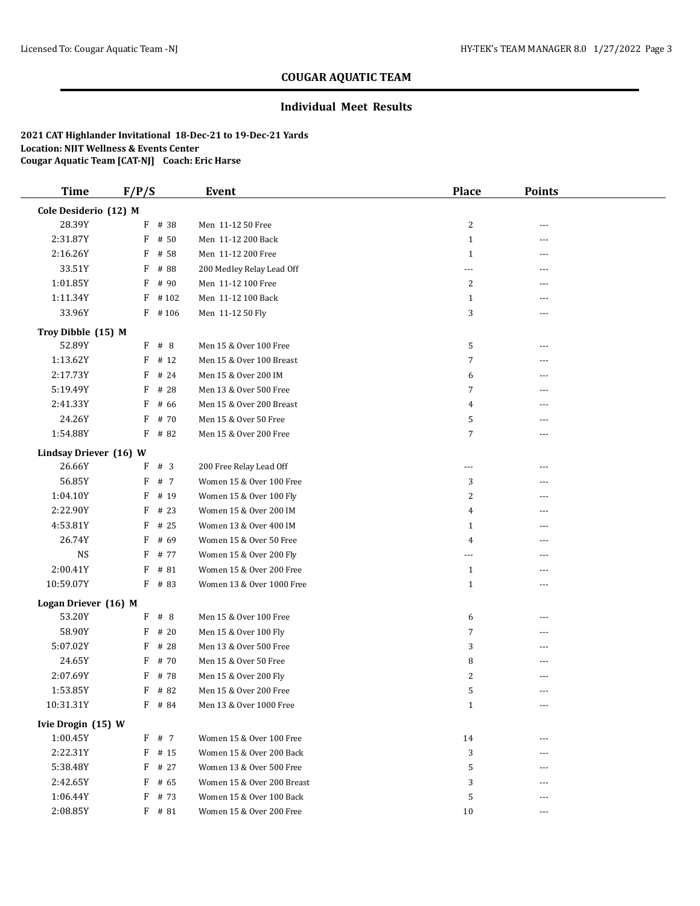### **Individual Meet Results**

| <b>Time</b>            | F/P/S     | <b>Event</b>               | <b>Place</b>   | <b>Points</b> |  |
|------------------------|-----------|----------------------------|----------------|---------------|--|
| Cole Desiderio (12) M  |           |                            |                |               |  |
| 28.39Y                 | F # 38    | Men 11-12 50 Free          | 2              |               |  |
| 2:31.87Y               | F<br># 50 | Men 11-12 200 Back         | $\mathbf{1}$   | ---           |  |
| 2:16.26Y               | F<br># 58 | Men 11-12 200 Free         | $\mathbf{1}$   | ---           |  |
| 33.51Y                 | F<br># 88 | 200 Medley Relay Lead Off  | ---            | $---$         |  |
| 1:01.85Y               | F<br># 90 | Men 11-12 100 Free         | 2              | ---           |  |
| 1:11.34Y               | F<br>#102 | Men 11-12 100 Back         | $\mathbf{1}$   | ---           |  |
| 33.96Y                 | $F$ #106  | Men 11-12 50 Fly           | 3              | $---$         |  |
| Troy Dibble (15) M     |           |                            |                |               |  |
| 52.89Y                 | F<br># 8  | Men 15 & Over 100 Free     | 5              | ---           |  |
| 1:13.62Y               | # 12<br>F | Men 15 & Over 100 Breast   | $\overline{7}$ |               |  |
| 2:17.73Y               | F<br># 24 | Men 15 & Over 200 IM       | 6              | $---$         |  |
| 5:19.49Y               | F<br># 28 | Men 13 & Over 500 Free     | 7              |               |  |
| 2:41.33Y               | F<br># 66 | Men 15 & Over 200 Breast   | 4              | $---$         |  |
| 24.26Y                 | F<br># 70 | Men 15 & Over 50 Free      | 5              | ---           |  |
| 1:54.88Y               | F<br># 82 | Men 15 & Over 200 Free     | $\overline{7}$ | ---           |  |
| Lindsay Driever (16) W |           |                            |                |               |  |
| 26.66Y                 | F<br>#3   | 200 Free Relay Lead Off    | ---            | ---           |  |
| 56.85Y                 | F<br># 7  | Women 15 & Over 100 Free   | 3              |               |  |
| 1:04.10Y               | F<br># 19 | Women 15 & Over 100 Fly    | 2              | ---           |  |
| 2:22.90Y               | F<br># 23 | Women 15 & Over 200 IM     | 4              | $---$         |  |
| 4:53.81Y               | $F$ # 25  | Women 13 & Over 400 IM     | $\mathbf{1}$   | ---           |  |
| 26.74Y                 | F<br># 69 | Women 15 & Over 50 Free    | 4              |               |  |
| <b>NS</b>              | F<br># 77 | Women 15 & Over 200 Fly    | ---            | ---           |  |
| 2:00.41Y               | # 81<br>F | Women 15 & Over 200 Free   | $\mathbf{1}$   | ---           |  |
| 10:59.07Y              | $F$ # 83  | Women 13 & Over 1000 Free  | $\mathbf{1}$   | ---           |  |
| Logan Driever (16) M   |           |                            |                |               |  |
| 53.20Y                 | $F$ # 8   | Men 15 & Over 100 Free     | 6              | $---$         |  |
| 58.90Y                 | # 20<br>F | Men 15 & Over 100 Fly      | $\overline{7}$ | ---           |  |
| 5:07.02Y               | # 28<br>F | Men 13 & Over 500 Free     | 3              | $---$         |  |
| 24.65Y                 | # 70<br>F | Men 15 & Over 50 Free      | 8              |               |  |
| 2:07.69Y               | # 78<br>F | Men 15 & Over 200 Fly      | 2              |               |  |
| 1:53.85Y               | $F$ # 82  | Men 15 & Over 200 Free     | 5              | $\cdots$      |  |
| 10:31.31Y              | F # 84    | Men 13 & Over 1000 Free    | $\mathbf{1}$   | $\cdots$      |  |
| Ivie Drogin (15) W     |           |                            |                |               |  |
| 1:00.45Y               | F # 7     | Women 15 & Over 100 Free   | 14             | ---           |  |
| 2:22.31Y               | $F$ # 15  | Women 15 & Over 200 Back   | 3              | ---           |  |
| 5:38.48Y               | $F$ # 27  | Women 13 & Over 500 Free   | 5              |               |  |
| 2:42.65Y               | F<br># 65 | Women 15 & Over 200 Breast | 3              |               |  |
| 1:06.44Y               | F<br># 73 | Women 15 & Over 100 Back   | 5              | ---           |  |
| 2:08.85Y               | $F$ # 81  | Women 15 & Over 200 Free   | 10             | ---           |  |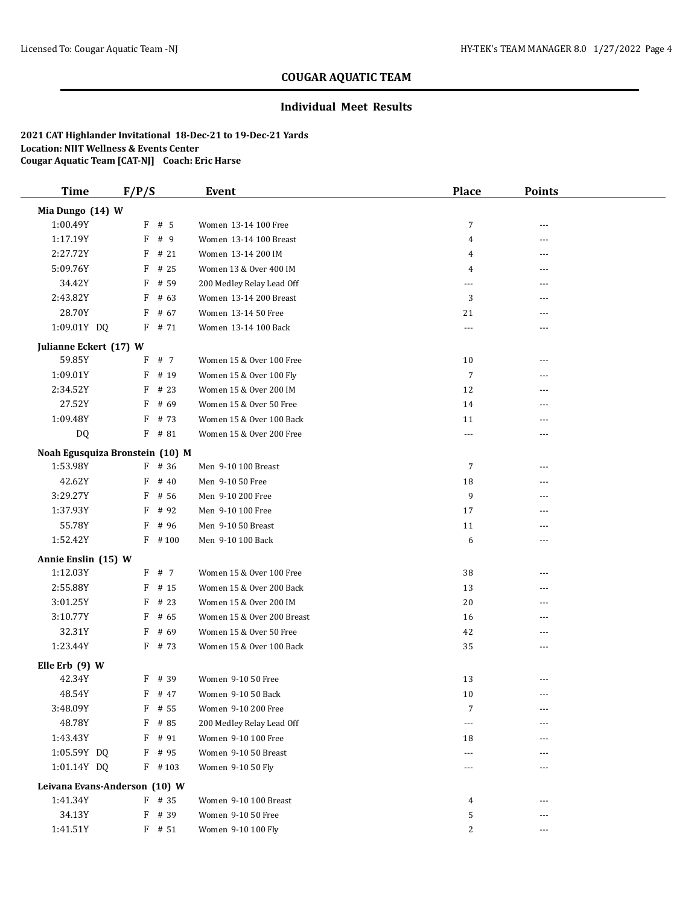### **Individual Meet Results**

| <b>Time</b>                     | F/P/S |           | <b>Event</b>               | <b>Place</b>   | <b>Points</b> |  |
|---------------------------------|-------|-----------|----------------------------|----------------|---------------|--|
| Mia Dungo (14) W                |       |           |                            |                |               |  |
| 1:00.49Y                        |       | $F$ # 5   | Women 13-14 100 Free       | $\overline{7}$ | $- - -$       |  |
| 1:17.19Y                        |       | F # 9     | Women 13-14 100 Breast     | 4              | ---           |  |
| 2:27.72Y                        | F     | # 21      | Women 13-14 200 IM         | 4              | ---           |  |
| 5:09.76Y                        | F     | # 25      | Women 13 & Over 400 IM     | 4              | ---           |  |
| 34.42Y                          |       | $F$ # 59  | 200 Medley Relay Lead Off  | ---            | ---           |  |
| 2:43.82Y                        |       | $F$ # 63  | Women 13-14 200 Breast     | 3              | $---$         |  |
| 28.70Y                          |       | $F$ # 67  | Women 13-14 50 Free        | 21             | ---           |  |
| 1:09.01Y DQ                     |       | $F$ # 71  | Women 13-14 100 Back       | ---            | $---$         |  |
| Julianne Eckert (17) W          |       |           |                            |                |               |  |
| 59.85Y                          |       | F # 7     | Women 15 & Over 100 Free   | 10             | $---$         |  |
| 1:09.01Y                        | F     | # 19      | Women 15 & Over 100 Fly    | $\overline{7}$ |               |  |
| 2:34.52Y                        | F     | # 23      | Women 15 & Over 200 IM     | 12             | ---           |  |
| 27.52Y                          | F     | # 69      | Women 15 & Over 50 Free    | 14             | $---$         |  |
| 1:09.48Y                        | F     | # 73      | Women 15 & Over 100 Back   | 11             | ---           |  |
| DQ                              |       | $F$ # 81  | Women 15 & Over 200 Free   | ---            | $- - -$       |  |
| Noah Egusquiza Bronstein (10) M |       |           |                            |                |               |  |
| 1:53.98Y                        |       | $F$ # 36  | Men 9-10 100 Breast        | $\overline{7}$ | $- - -$       |  |
| 42.62Y                          | F     | # 40      | Men 9-10 50 Free           | 18             | ---           |  |
| 3:29.27Y                        | F     | # 56      | Men 9-10 200 Free          | 9              |               |  |
| 1:37.93Y                        |       | $F$ # 92  | Men 9-10 100 Free          | 17             |               |  |
| 55.78Y                          |       | $F$ # 96  | Men 9-10 50 Breast         | 11             |               |  |
| 1:52.42Y                        |       | $F$ #100  | Men 9-10 100 Back          | 6              | $- - -$       |  |
| Annie Enslin (15) W             |       |           |                            |                |               |  |
| 1:12.03Y                        |       | F # 7     | Women 15 & Over 100 Free   | 38             | $---$         |  |
| 2:55.88Y                        |       | $F$ # 15  | Women 15 & Over 200 Back   | 13             | ---           |  |
| 3:01.25Y                        | F     | # 23      | Women 15 & Over 200 IM     | 20             | ---           |  |
| 3:10.77Y                        | F     | # 65      | Women 15 & Over 200 Breast | 16             | ---           |  |
| 32.31Y                          | F     | # 69      | Women 15 & Over 50 Free    | 42             |               |  |
| 1:23.44Y                        |       | $F$ # 73  | Women 15 & Over 100 Back   | 35             | $- - -$       |  |
| Elle Erb (9) W                  |       |           |                            |                |               |  |
| 42.34Y                          |       | $F$ # 39  | Women 9-10 50 Free         | 13             | $---$         |  |
| 48.54Y                          |       | $F$ # 47  | Women 9-10 50 Back         | 10             | $---$         |  |
| 3:48.09Y                        |       | F # 55    | Women 9-10 200 Free        | 7              | $---$         |  |
| 48.78Y                          |       | $F$ # 85  | 200 Medley Relay Lead Off  | ---            |               |  |
| 1:43.43Y                        |       | $F$ # 91  | Women 9-10 100 Free        | 18             |               |  |
| 1:05.59Y DQ                     |       | $F$ # 95  | Women 9-10 50 Breast       | ---            |               |  |
| 1:01.14Y DQ                     |       | $F$ # 103 | Women 9-10 50 Fly          | ---            |               |  |
| Leivana Evans-Anderson (10) W   |       |           |                            |                |               |  |
| 1:41.34Y                        |       | $F$ # 35  | Women 9-10 100 Breast      | 4              |               |  |
| 34.13Y                          |       | F # 39    | Women 9-10 50 Free         | 5              | ---           |  |
| 1:41.51Y                        |       | $F$ # 51  | Women 9-10 100 Fly         | 2              | ---           |  |
|                                 |       |           |                            |                |               |  |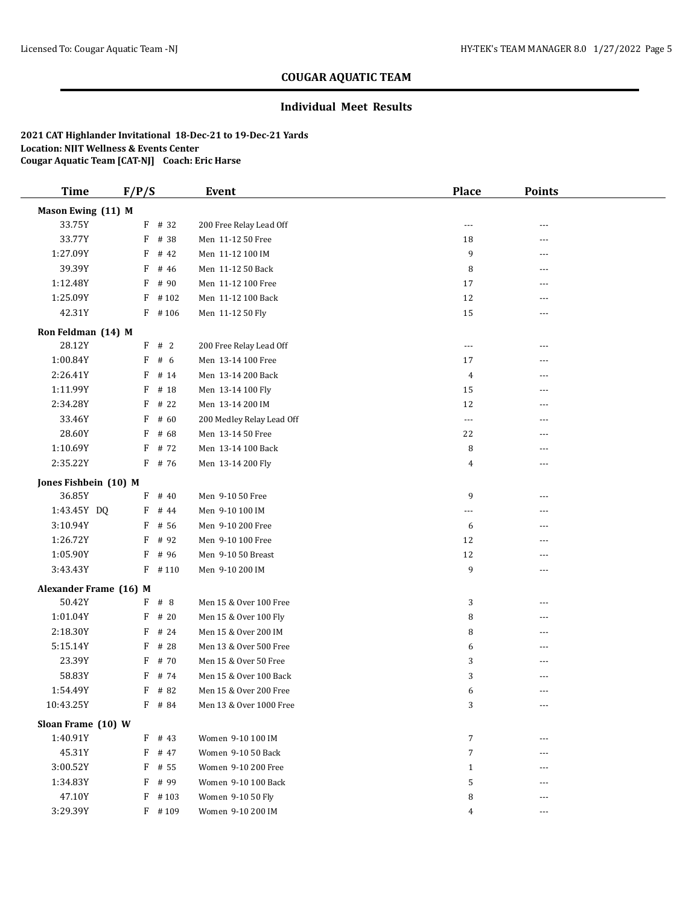### **Individual Meet Results**

| <b>Time</b>            | F/P/S     | <b>Event</b>              | <b>Place</b>   | <b>Points</b> |  |
|------------------------|-----------|---------------------------|----------------|---------------|--|
| Mason Ewing (11) M     |           |                           |                |               |  |
| 33.75Y                 | $F$ # 32  | 200 Free Relay Lead Off   | $\cdots$       |               |  |
| 33.77Y                 | F<br># 38 | Men 11-12 50 Free         | 18             | ---           |  |
| 1:27.09Y               | F<br># 42 | Men 11-12 100 IM          | 9              | ---           |  |
| 39.39Y                 | F<br># 46 | Men 11-12 50 Back         | 8              | $---$         |  |
| 1:12.48Y               | F<br># 90 | Men 11-12 100 Free        | 17             | ---           |  |
| 1:25.09Y               | $F$ #102  | Men 11-12 100 Back        | 12             | ---           |  |
| 42.31Y                 | $F$ #106  | Men 11-12 50 Fly          | 15             | ---           |  |
| Ron Feldman (14) M     |           |                           |                |               |  |
| 28.12Y                 | F<br>#2   | 200 Free Relay Lead Off   | $---$          | ---           |  |
| 1:00.84Y               | F<br># 6  | Men 13-14 100 Free        | 17             |               |  |
| 2:26.41Y               | F<br># 14 | Men 13-14 200 Back        | 4              | $---$         |  |
| 1:11.99Y               | F<br># 18 | Men 13-14 100 Fly         | 15             |               |  |
| 2:34.28Y               | F<br># 22 | Men 13-14 200 IM          | 12             | $---$         |  |
| 33.46Y                 | F<br># 60 | 200 Medley Relay Lead Off | $---$          | ---           |  |
| 28.60Y                 | F<br># 68 | Men 13-14 50 Free         | 22             | ---           |  |
| 1:10.69Y               | # 72<br>F | Men 13-14 100 Back        | 8              | $---$         |  |
| 2:35.22Y               | $F$ # 76  | Men 13-14 200 Fly         | 4              | ---           |  |
| Jones Fishbein (10) M  |           |                           |                |               |  |
| 36.85Y                 | F<br># 40 | Men 9-10 50 Free          | 9              | ---           |  |
| 1:43.45Y DQ            | # 44<br>F | Men 9-10 100 IM           | ---            | $---$         |  |
| 3:10.94Y               | F<br># 56 | Men 9-10 200 Free         | 6              | ---           |  |
| 1:26.72Y               | F<br># 92 | Men 9-10 100 Free         | 12             |               |  |
| 1:05.90Y               | F<br># 96 | Men 9-10 50 Breast        | 12             | ---           |  |
| 3:43.43Y               | $F$ #110  | Men 9-10 200 IM           | 9              | ---           |  |
| Alexander Frame (16) M |           |                           |                |               |  |
| 50.42Y                 | F # 8     | Men 15 & Over 100 Free    | 3              | ---           |  |
| 1:01.04Y               | F<br># 20 | Men 15 & Over 100 Fly     | 8              | $---$         |  |
| 2:18.30Y               | F<br># 24 | Men 15 & Over 200 IM      | 8              | ---           |  |
| 5:15.14Y               | F<br># 28 | Men 13 & Over 500 Free    | 6              | ---           |  |
| 23.39Y                 | F<br># 70 | Men 15 & Over 50 Free     | 3              |               |  |
| 58.83Y                 | F<br># 74 | Men 15 & Over 100 Back    | 3              |               |  |
| 1:54.49Y               | F # 82    | Men 15 & Over 200 Free    | 6              | $\cdots$      |  |
| 10:43.25Y              | F # 84    | Men 13 & Over 1000 Free   | 3              | $\cdots$      |  |
| Sloan Frame (10) W     |           |                           |                |               |  |
| 1:40.91Y               | $F$ # 43  | Women 9-10 100 IM         | $\overline{7}$ | ---           |  |
| 45.31Y                 | $F$ # 47  | Women 9-10 50 Back        | 7              | ---           |  |
| 3:00.52Y               | $F$ # 55  | Women 9-10 200 Free       | $\mathbf{1}$   |               |  |
| 1:34.83Y               | F<br># 99 | Women 9-10 100 Back       | 5              |               |  |
| 47.10Y                 | $F$ # 103 | Women 9-10 50 Fly         | 8              | ---           |  |
| 3:29.39Y               | $F$ #109  | Women 9-10 200 IM         | 4              | ---           |  |
|                        |           |                           |                |               |  |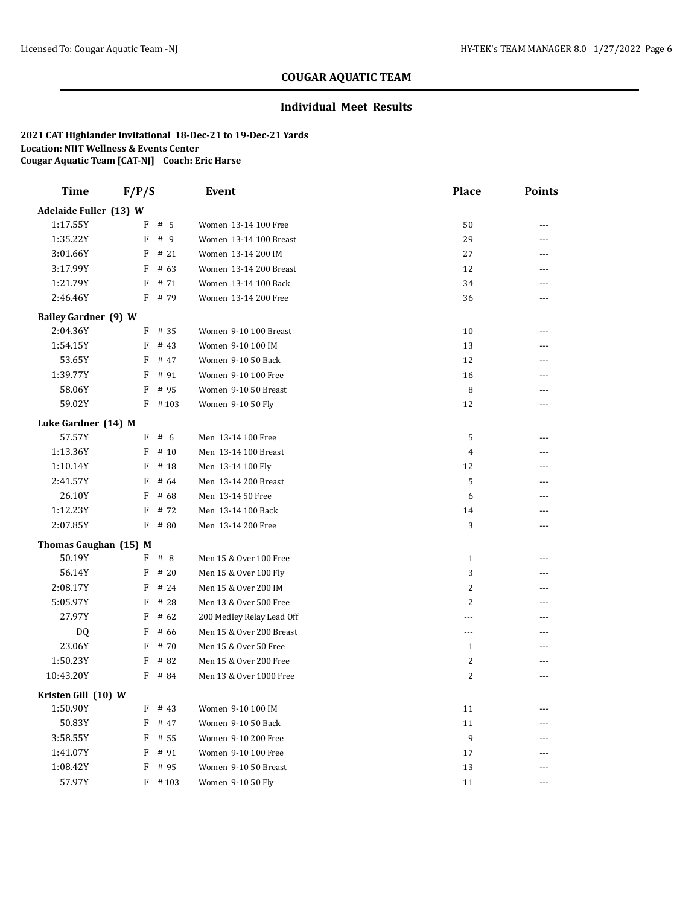### **Individual Meet Results**

| <b>Time</b>                 | F/P/S |           | <b>Event</b>              | <b>Place</b>   | <b>Points</b> |  |
|-----------------------------|-------|-----------|---------------------------|----------------|---------------|--|
| Adelaide Fuller (13) W      |       |           |                           |                |               |  |
| 1:17.55Y                    |       | $F$ # 5   | Women 13-14 100 Free      | 50             |               |  |
| 1:35.22Y                    | F     | # 9       | Women 13-14 100 Breast    | 29             | ---           |  |
| 3:01.66Y                    | F     | # 21      | Women 13-14 200 IM        | 27             |               |  |
| 3:17.99Y                    | F     | # 63      | Women 13-14 200 Breast    | 12             | $---$         |  |
| 1:21.79Y                    | F     | # 71      | Women 13-14 100 Back      | 34             | ---           |  |
| 2:46.46Y                    |       | $F$ # 79  | Women 13-14 200 Free      | 36             | ---           |  |
| <b>Bailey Gardner (9) W</b> |       |           |                           |                |               |  |
| 2:04.36Y                    | F     | # 35      | Women 9-10 100 Breast     | 10             | $- - -$       |  |
| 1:54.15Y                    | F     | # 43      | Women 9-10 100 IM         | 13             | ---           |  |
| 53.65Y                      | F     | # 47      | Women 9-10 50 Back        | 12             |               |  |
| 1:39.77Y                    | F     | # 91      | Women 9-10 100 Free       | 16             | ---           |  |
| 58.06Y                      | F     | # 95      | Women 9-10 50 Breast      | 8              |               |  |
| 59.02Y                      |       | $F$ #103  | Women 9-10 50 Fly         | 12             | $---$         |  |
| Luke Gardner (14) M         |       |           |                           |                |               |  |
| 57.57Y                      |       | $F$ # 6   | Men 13-14 100 Free        | 5              | ---           |  |
| 1:13.36Y                    | F     | # 10      | Men 13-14 100 Breast      | 4              | ---           |  |
| 1:10.14Y                    | F     | # 18      | Men 13-14 100 Fly         | 12             |               |  |
| 2:41.57Y                    | F     | # 64      | Men 13-14 200 Breast      | 5              | ---           |  |
| 26.10Y                      | F     | # 68      | Men 13-14 50 Free         | 6              | $- - -$       |  |
| 1:12.23Y                    | F     | # 72      | Men 13-14 100 Back        | 14             | $---$         |  |
| 2:07.85Y                    | F     | # 80      | Men 13-14 200 Free        | 3              |               |  |
| Thomas Gaughan (15) M       |       |           |                           |                |               |  |
| 50.19Y                      | F     | #8        | Men 15 & Over 100 Free    | $\mathbf{1}$   | $- - -$       |  |
| 56.14Y                      | F     | # 20      | Men 15 & Over 100 Fly     | 3              | $- - -$       |  |
| 2:08.17Y                    | F     | # 24      | Men 15 & Over 200 IM      | $\overline{c}$ | $- - -$       |  |
| 5:05.97Y                    | F     | # 28      | Men 13 & Over 500 Free    | $\overline{c}$ | $---$         |  |
| 27.97Y                      | F     | # 62      | 200 Medley Relay Lead Off | $- - -$        | $---$         |  |
| DQ                          | F     | # 66      | Men 15 & Over 200 Breast  | $---$          | ---           |  |
| 23.06Y                      | F     | # 70      | Men 15 & Over 50 Free     | $\mathbf{1}$   | $---$         |  |
| 1:50.23Y                    | F     | # 82      | Men 15 & Over 200 Free    | 2              | $---$         |  |
| 10:43.20Y                   |       | $F$ # 84  | Men 13 & Over 1000 Free   | 2              |               |  |
| Kristen Gill (10) W         |       |           |                           |                |               |  |
| 1:50.90Y                    | F     | # 43      | Women 9-10 100 IM         | 11             |               |  |
| 50.83Y                      | F     | # 47      | Women 9-10 50 Back        | 11             |               |  |
| 3:58.55Y                    |       | $F$ # 55  | Women 9-10 200 Free       | 9              |               |  |
| 1:41.07Y                    |       | $F$ # 91  | Women 9-10 100 Free       | 17             | ---           |  |
| 1:08.42Y                    | F     | # 95      | Women 9-10 50 Breast      | 13             |               |  |
| 57.97Y                      |       | $F$ # 103 | Women 9-10 50 Fly         | 11             | $---$         |  |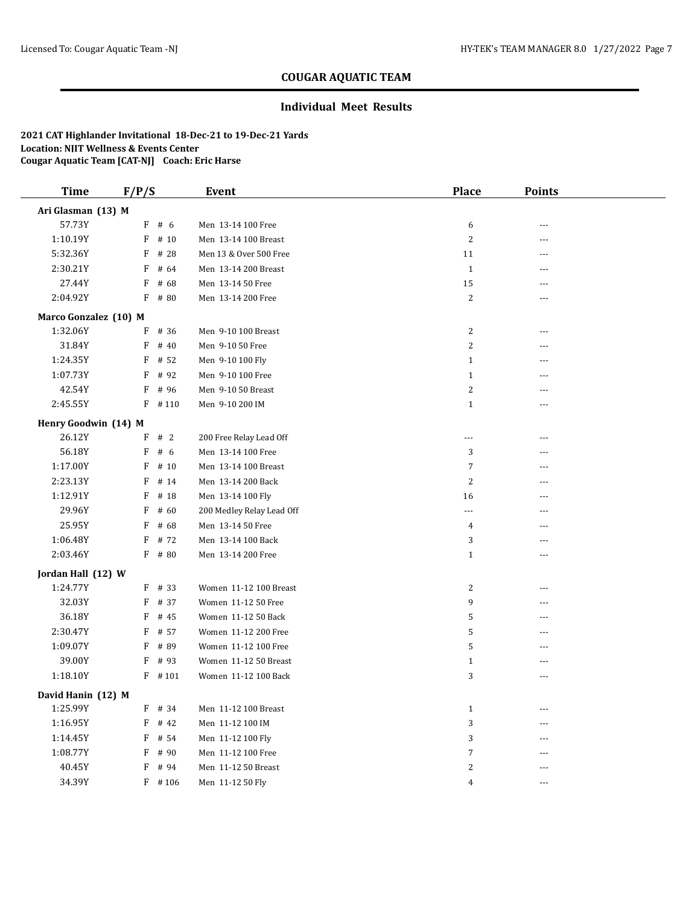### **Individual Meet Results**

| <b>Time</b>           | F/P/S |          | <b>Event</b>              | Place          | <b>Points</b>  |  |
|-----------------------|-------|----------|---------------------------|----------------|----------------|--|
| Ari Glasman (13) M    |       |          |                           |                |                |  |
| 57.73Y                |       | $F$ # 6  | Men 13-14 100 Free        | 6              |                |  |
| 1:10.19Y              | F     | # 10     | Men 13-14 100 Breast      | $\overline{c}$ | ---            |  |
| 5:32.36Y              | F     | # 28     | Men 13 & Over 500 Free    | 11             |                |  |
| 2:30.21Y              | F     | # 64     | Men 13-14 200 Breast      | $\mathbf{1}$   | $---$          |  |
| 27.44Y                | F     | # 68     | Men 13-14 50 Free         | 15             | $\overline{a}$ |  |
| 2:04.92Y              | F     | # 80     | Men 13-14 200 Free        | 2              | ---            |  |
| Marco Gonzalez (10) M |       |          |                           |                |                |  |
| 1:32.06Y              | F     | # 36     | Men 9-10 100 Breast       | 2              | $\overline{a}$ |  |
| 31.84Y                | F     | # 40     | Men 9-10 50 Free          | 2              | ---            |  |
| 1:24.35Y              | F     | # 52     | Men 9-10 100 Fly          | $\mathbf{1}$   |                |  |
| 1:07.73Y              | F     | # 92     | Men 9-10 100 Free         | $\mathbf{1}$   |                |  |
| 42.54Y                | F     | # 96     | Men 9-10 50 Breast        | $\overline{c}$ |                |  |
| 2:45.55Y              | F     | #110     | Men 9-10 200 IM           | $\mathbf{1}$   | $- - -$        |  |
| Henry Goodwin (14) M  |       |          |                           |                |                |  |
| 26.12Y                | F     | #2       | 200 Free Relay Lead Off   | $\cdots$       | ---            |  |
| 56.18Y                | F     | # 6      | Men 13-14 100 Free        | 3              | ---            |  |
| 1:17.00Y              | F     | # 10     | Men 13-14 100 Breast      | 7              | ---            |  |
| 2:23.13Y              | F     | # 14     | Men 13-14 200 Back        | $\overline{2}$ | ---            |  |
| 1:12.91Y              | F     | # 18     | Men 13-14 100 Fly         | 16             |                |  |
| 29.96Y                | F     | # 60     | 200 Medley Relay Lead Off | $\cdots$       | ---            |  |
| 25.95Y                | F     | # 68     | Men 13-14 50 Free         | 4              |                |  |
| 1:06.48Y              | F     | # 72     | Men 13-14 100 Back        | 3              | ---            |  |
| 2:03.46Y              | F     | # 80     | Men 13-14 200 Free        | $\mathbf{1}$   | ---            |  |
| Jordan Hall (12) W    |       |          |                           |                |                |  |
| 1:24.77Y              |       | $F$ # 33 | Women 11-12 100 Breast    | 2              | $---$          |  |
| 32.03Y                | F     | # 37     | Women 11-12 50 Free       | 9              | ---            |  |
| 36.18Y                | F     | # 45     | Women 11-12 50 Back       | 5              | $---$          |  |
| 2:30.47Y              | F     | # 57     | Women 11-12 200 Free      | 5              | ---            |  |
| 1:09.07Y              | F     | # 89     | Women 11-12 100 Free      | 5              | ---            |  |
| 39.00Y                | F     | # 93     | Women 11-12 50 Breast     | $\mathbf{1}$   | ---            |  |
| 1:18.10Y              |       | $F$ #101 | Women 11-12 100 Back      | 3              | ---            |  |
| David Hanin (12) M    |       |          |                           |                |                |  |
| 1:25.99Y              | F     | # 34     | Men 11-12 100 Breast      | $\mathbf{1}$   |                |  |
| 1:16.95Y              | F     | # 42     | Men 11-12 100 IM          | 3              |                |  |
| 1:14.45Y              |       | F # 54   | Men 11-12 100 Fly         | 3              |                |  |
| 1:08.77Y              | F     | # 90     | Men 11-12 100 Free        | 7              | ---            |  |
| 40.45Y                | F     | # 94     | Men 11-12 50 Breast       | 2              |                |  |
| 34.39Y                |       | $F$ #106 | Men 11-12 50 Fly          | 4              | ---            |  |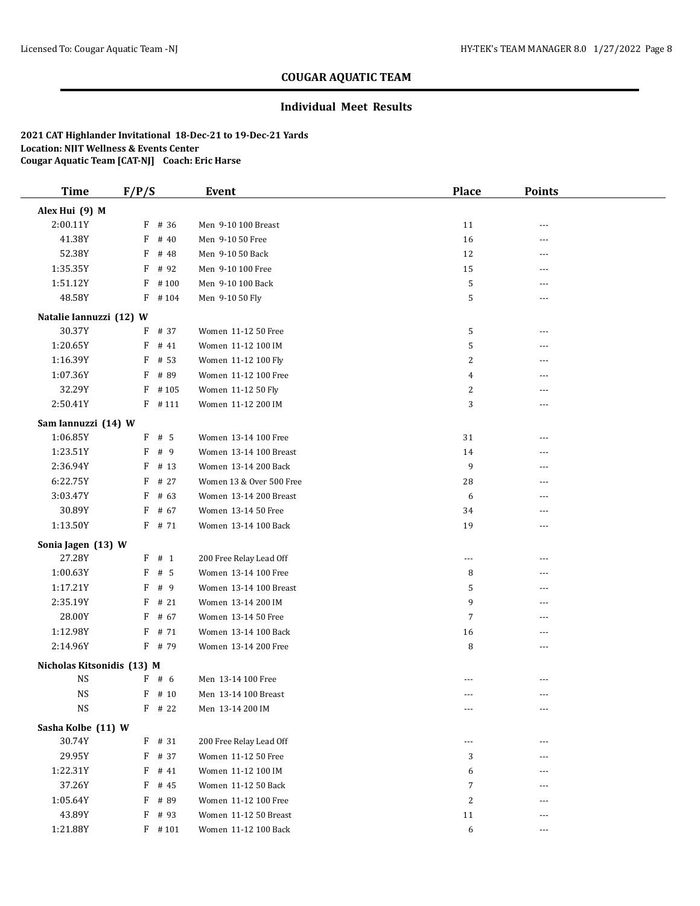### **Individual Meet Results**

| <b>Time</b>                | F/P/S |          | Event                    | <b>Place</b>            | <b>Points</b> |  |
|----------------------------|-------|----------|--------------------------|-------------------------|---------------|--|
| Alex Hui (9) M             |       |          |                          |                         |               |  |
| 2:00.11Y                   | F     | # 36     | Men 9-10 100 Breast      | 11                      | ---           |  |
| 41.38Y                     | F     | # 40     | Men 9-10 50 Free         | 16                      | ---           |  |
| 52.38Y                     | F     | # 48     | Men 9-10 50 Back         | 12                      | ---           |  |
| 1:35.35Y                   | F     | # 92     | Men 9-10 100 Free        | 15                      | ---           |  |
| 1:51.12Y                   | F     | #100     | Men 9-10 100 Back        | 5                       | ---           |  |
| 48.58Y                     |       | $F$ #104 | Men 9-10 50 Fly          | 5                       | ---           |  |
| Natalie Iannuzzi (12) W    |       |          |                          |                         |               |  |
| 30.37Y                     | F     | # 37     | Women 11-12 50 Free      | 5                       | ---           |  |
| 1:20.65Y                   | F     | # 41     | Women 11-12 100 IM       | 5                       | ---           |  |
| 1:16.39Y                   | F     | # 53     | Women 11-12 100 Fly      | $\overline{c}$          |               |  |
| 1:07.36Y                   | F     | # 89     | Women 11-12 100 Free     | 4                       | ---           |  |
| 32.29Y                     | F     | #105     | Women 11-12 50 Fly       | 2                       | ---           |  |
| 2:50.41Y                   |       | $F$ #111 | Women 11-12 200 IM       | 3                       | ---           |  |
| Sam Iannuzzi (14) W        |       |          |                          |                         |               |  |
| 1:06.85Y                   |       | $F$ # 5  | Women 13-14 100 Free     | 31                      | ---           |  |
| 1:23.51Y                   | F     | # 9      | Women 13-14 100 Breast   | 14                      | ---           |  |
| 2:36.94Y                   | F     | # 13     | Women 13-14 200 Back     | 9                       |               |  |
| 6:22.75Y                   | F     | # 27     | Women 13 & Over 500 Free | 28                      | ---           |  |
| 3:03.47Y                   | F     | # 63     | Women 13-14 200 Breast   | 6                       | ---           |  |
| 30.89Y                     | F     | # 67     | Women 13-14 50 Free      | 34                      | ---           |  |
| 1:13.50Y                   |       | $F$ # 71 | Women 13-14 100 Back     | 19                      | ---           |  |
| Sonia Jagen (13) W         |       |          |                          |                         |               |  |
| 27.28Y                     |       | $F$ # 1  | 200 Free Relay Lead Off  | ---                     | ---           |  |
| 1:00.63Y                   | F     | # 5      | Women 13-14 100 Free     | 8                       | ---           |  |
| 1:17.21Y                   | F     | # 9      | Women 13-14 100 Breast   | 5                       | ---           |  |
| 2:35.19Y                   | F     | #21      | Women 13-14 200 IM       | 9                       | ---           |  |
| 28.00Y                     | F     | # 67     | Women 13-14 50 Free      | 7                       | ---           |  |
| 1:12.98Y                   | F     | # 71     | Women 13-14 100 Back     | 16                      | ---           |  |
| 2:14.96Y                   |       | F # 79   | Women 13-14 200 Free     | 8                       | ---           |  |
| Nicholas Kitsonidis (13) M |       |          |                          |                         |               |  |
| <b>NS</b>                  |       | $F$ # 6  | Men 13-14 100 Free       |                         | ---           |  |
| <b>NS</b>                  |       | $F$ # 10 | Men 13-14 100 Breast     | $---$                   | $- - -$       |  |
| $_{\rm NS}$                |       | $F$ # 22 | Men 13-14 200 IM         | ---                     | ---           |  |
| Sasha Kolbe (11) W         |       |          |                          |                         |               |  |
| 30.74Y                     |       | $F$ # 31 | 200 Free Relay Lead Off  | $---$                   |               |  |
| 29.95Y                     | F     | # 37     | Women 11-12 50 Free      | 3                       | ---           |  |
| 1:22.31Y                   | F     | # 41     | Women 11-12 100 IM       | 6                       | ---           |  |
| 37.26Y                     | F     | # 45     | Women 11-12 50 Back      | 7                       | ---           |  |
| 1:05.64Y                   |       | F # 89   | Women 11-12 100 Free     | $\overline{\mathbf{c}}$ | ---           |  |
| 43.89Y                     | F     | # 93     | Women 11-12 50 Breast    | 11                      | ---           |  |
| 1:21.88Y                   |       | $F$ #101 | Women 11-12 100 Back     | 6                       | ---           |  |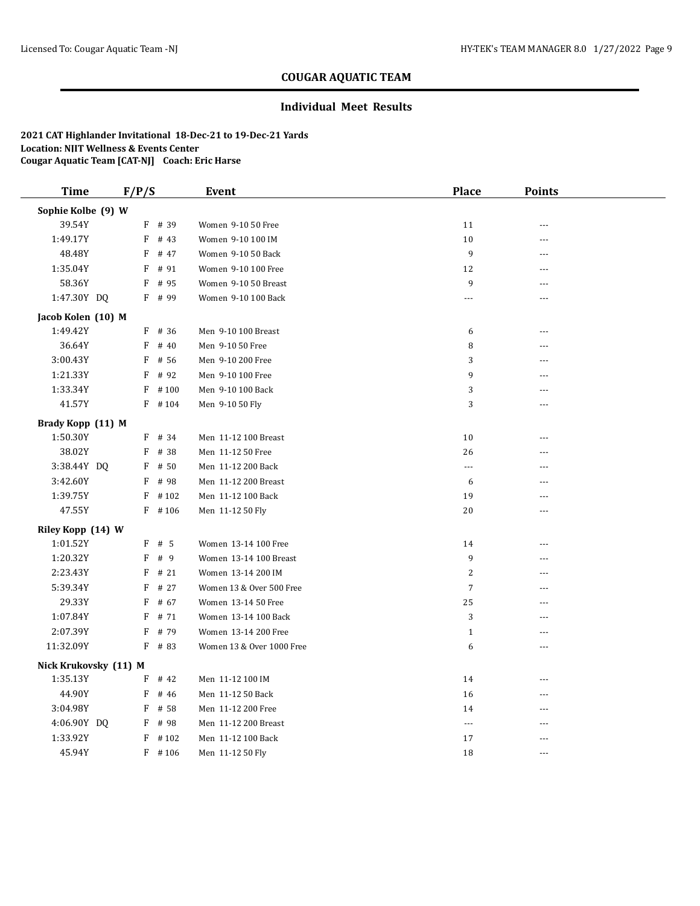### **Individual Meet Results**

| <b>Time</b>           | F/P/S |           | <b>Event</b>              | <b>Place</b>         | <b>Points</b>  |  |
|-----------------------|-------|-----------|---------------------------|----------------------|----------------|--|
| Sophie Kolbe (9) W    |       |           |                           |                      |                |  |
| 39.54Y                |       | F # 39    | Women 9-10 50 Free        | 11                   | $- - -$        |  |
| 1:49.17Y              |       | $F$ # 43  | Women 9-10 100 IM         | 10                   | ---            |  |
| 48.48Y                | F     | # 47      | Women 9-10 50 Back        | 9                    |                |  |
| 1:35.04Y              | F     | # 91      | Women 9-10 100 Free       | 12                   | $\overline{a}$ |  |
| 58.36Y                | F     | # 95      | Women 9-10 50 Breast      | 9                    | ---            |  |
| 1:47.30Y DQ           |       | $F$ # 99  | Women 9-10 100 Back       | $\cdots$             | ---            |  |
| Jacob Kolen (10) M    |       |           |                           |                      |                |  |
| 1:49.42Y              |       | $F$ # 36  | Men 9-10 100 Breast       | 6                    | ---            |  |
| 36.64Y                | F     | # 40      | Men 9-10 50 Free          | 8                    | ---            |  |
| 3:00.43Y              | F     | # 56      | Men 9-10 200 Free         | 3                    | ---            |  |
| 1:21.33Y              | F     | # 92      | Men 9-10 100 Free         | 9                    | ---            |  |
| 1:33.34Y              |       | $F$ #100  | Men 9-10 100 Back         | 3                    | ---            |  |
| 41.57Y                |       | $F$ #104  | Men 9-10 50 Fly           | 3                    | ---            |  |
| Brady Kopp (11) M     |       |           |                           |                      |                |  |
| 1:50.30Y              |       | F # 34    | Men 11-12 100 Breast      | 10                   | ---            |  |
| 38.02Y                | F     | # 38      | Men 11-12 50 Free         | 26                   |                |  |
| 3:38.44Y DQ           |       | $F$ # 50  | Men 11-12 200 Back        | $\scriptstyle\cdots$ | $- - -$        |  |
| 3:42.60Y              |       | $F$ # 98  | Men 11-12 200 Breast      | 6                    | ---            |  |
| 1:39.75Y              |       | $F$ # 102 | Men 11-12 100 Back        | 19                   | ---            |  |
| 47.55Y                |       | $F$ #106  | Men 11-12 50 Fly          | 20                   | ---            |  |
| Riley Kopp (14) W     |       |           |                           |                      |                |  |
| 1:01.52Y              |       | F # 5     | Women 13-14 100 Free      | 14                   | $- - -$        |  |
| 1:20.32Y              |       | F # 9     | Women 13-14 100 Breast    | 9                    | ---            |  |
| 2:23.43Y              | F     | # 21      | Women 13-14 200 IM        | $\overline{2}$       |                |  |
| 5:39.34Y              |       | $F$ # 27  | Women 13 & Over 500 Free  | $\overline{7}$       | $- - -$        |  |
| 29.33Y                | F     | # 67      | Women 13-14 50 Free       | 25                   | $-$            |  |
| 1:07.84Y              | F     | # 71      | Women 13-14 100 Back      | 3                    | $- - -$        |  |
| 2:07.39Y              |       | $F$ # 79  | Women 13-14 200 Free      | $\mathbf{1}$         | $---$          |  |
| 11:32.09Y             |       | $F$ # 83  | Women 13 & Over 1000 Free | 6                    | ---            |  |
| Nick Krukovsky (11) M |       |           |                           |                      |                |  |
| 1:35.13Y              | F     | # 42      | Men 11-12 100 IM          | 14                   | $- - -$        |  |
| 44.90Y                | F     | # 46      | Men 11-12 50 Back         | 16                   | ---            |  |
| 3:04.98Y              |       | $F$ # 58  | Men 11-12 200 Free        | 14                   | $\overline{a}$ |  |
| 4:06.90Y DQ           |       | $F$ # 98  | Men 11-12 200 Breast      | $\cdots$             | $- - -$        |  |
| 1:33.92Y              |       | $F$ # 102 | Men 11-12 100 Back        | 17                   | $\overline{a}$ |  |
| 45.94Y                |       | $F$ #106  | Men 11-12 50 Fly          | 18                   | ---            |  |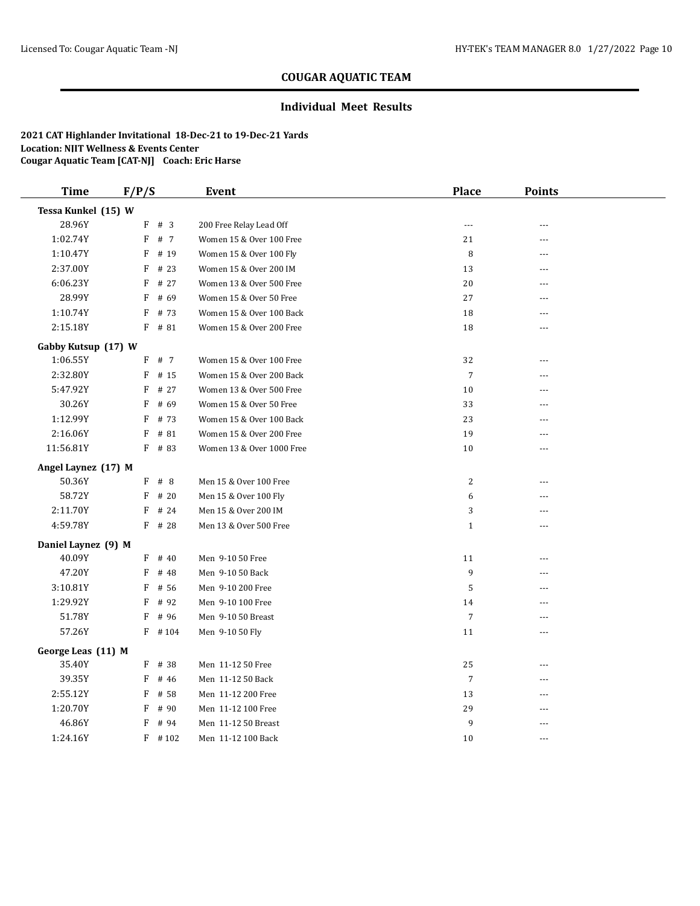#### **Individual Meet Results**

| <b>Time</b>         | F/P/S     | <b>Event</b>              | <b>Place</b>     | <b>Points</b> |  |
|---------------------|-----------|---------------------------|------------------|---------------|--|
| Tessa Kunkel (15) W |           |                           |                  |               |  |
| 28.96Y              | F<br>#3   | 200 Free Relay Lead Off   | $---$            | $\sim$ $\sim$ |  |
| 1:02.74Y            | F<br># 7  | Women 15 & Over 100 Free  | 21               | ---           |  |
| 1:10.47Y            | F<br># 19 | Women 15 & Over 100 Fly   | 8                | ---           |  |
| 2:37.00Y            | F<br># 23 | Women 15 & Over 200 IM    | 13               | ---           |  |
| 6:06.23Y            | # 27<br>F | Women 13 & Over 500 Free  | $20\,$           | ---           |  |
| 28.99Y              | F<br># 69 | Women 15 & Over 50 Free   | 27               | ---           |  |
| 1:10.74Y            | F<br># 73 | Women 15 & Over 100 Back  | 18               | ---           |  |
| 2:15.18Y            | $F$ # 81  | Women 15 & Over 200 Free  | 18               | ---           |  |
| Gabby Kutsup (17) W |           |                           |                  |               |  |
| 1:06.55Y            | F<br># 7  | Women 15 & Over 100 Free  | 32               | $\sim$ $\sim$ |  |
| 2:32.80Y            | F<br># 15 | Women 15 & Over 200 Back  | $\overline{7}$   | ---           |  |
| 5:47.92Y            | F<br># 27 | Women 13 & Over 500 Free  | 10               | ---           |  |
| 30.26Y              | F<br># 69 | Women 15 & Over 50 Free   | 33               | ---           |  |
| 1:12.99Y            | # 73<br>F | Women 15 & Over 100 Back  | 23               | $\sim$ $\sim$ |  |
| 2:16.06Y            | F<br># 81 | Women 15 & Over 200 Free  | 19               | $\sim$ $\sim$ |  |
| 11:56.81Y           | $F$ # 83  | Women 13 & Over 1000 Free | 10               | $- - -$       |  |
| Angel Laynez (17) M |           |                           |                  |               |  |
| 50.36Y              | $F$ # 8   | Men 15 & Over 100 Free    | 2                | ---           |  |
| 58.72Y              | F<br># 20 | Men 15 & Over 100 Fly     | 6                |               |  |
| 2:11.70Y            | F<br># 24 | Men 15 & Over 200 IM      | 3                |               |  |
| 4:59.78Y            | $F$ # 28  | Men 13 & Over 500 Free    | $\mathbf{1}$     | ---           |  |
| Daniel Laynez (9) M |           |                           |                  |               |  |
| 40.09Y              | $F$ # 40  | Men 9-10 50 Free          | 11               | ---           |  |
| 47.20Y              | F<br># 48 | Men 9-10 50 Back          | $\boldsymbol{9}$ |               |  |
| 3:10.81Y            | F<br># 56 | Men 9-10 200 Free         | 5                |               |  |
| 1:29.92Y            | F<br># 92 | Men 9-10 100 Free         | 14               |               |  |
| 51.78Y              | F<br># 96 | Men 9-10 50 Breast        | $\overline{7}$   | ---           |  |
| 57.26Y              | $F$ # 104 | Men 9-10 50 Fly           | 11               | $- - -$       |  |
| George Leas (11) M  |           |                           |                  |               |  |
| 35.40Y              | $F$ # 38  | Men 11-12 50 Free         | 25               |               |  |
| 39.35Y              | F<br># 46 | Men 11-12 50 Back         | $\overline{7}$   | ---           |  |
| 2:55.12Y            | F<br># 58 | Men 11-12 200 Free        | 13               | ---           |  |
| 1:20.70Y            | F<br># 90 | Men 11-12 100 Free        | 29               | ---           |  |
| 46.86Y              | F<br># 94 | Men 11-12 50 Breast       | 9                | ---           |  |
| 1:24.16Y            | $F$ #102  | Men 11-12 100 Back        | 10               | $---$         |  |
|                     |           |                           |                  |               |  |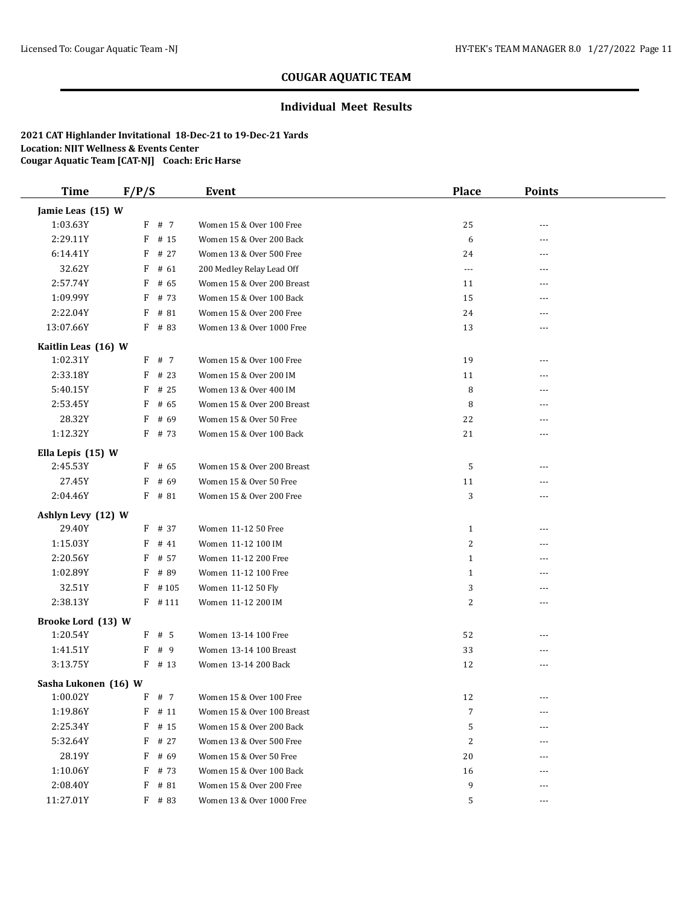### **Individual Meet Results**

| <b>Time</b>          | F/P/S     | Event                      | <b>Place</b>   | <b>Points</b> |  |
|----------------------|-----------|----------------------------|----------------|---------------|--|
| Jamie Leas (15) W    |           |                            |                |               |  |
| 1:03.63Y             | F # 7     | Women 15 & Over 100 Free   | 25             |               |  |
| 2:29.11Y             | F<br># 15 | Women 15 & Over 200 Back   | 6              | ---           |  |
| 6:14.41Y             | F<br># 27 | Women 13 & Over 500 Free   | 24             |               |  |
| 32.62Y               | F<br># 61 | 200 Medley Relay Lead Off  | $\cdots$       | $---$         |  |
| 2:57.74Y             | F<br># 65 | Women 15 & Over 200 Breast | 11             | ---           |  |
| 1:09.99Y             | F<br># 73 | Women 15 & Over 100 Back   | 15             | ---           |  |
| 2:22.04Y             | F<br># 81 | Women 15 & Over 200 Free   | 24             | $---$         |  |
| 13:07.66Y            | $F$ # 83  | Women 13 & Over 1000 Free  | 13             | $---$         |  |
| Kaitlin Leas (16) W  |           |                            |                |               |  |
| 1:02.31Y             | F # 7     | Women 15 & Over 100 Free   | 19             | $- - -$       |  |
| 2:33.18Y             | $F$ # 23  | Women 15 & Over 200 IM     | 11             | $---$         |  |
| 5:40.15Y             | F<br># 25 | Women 13 & Over 400 IM     | 8              |               |  |
| 2:53.45Y             | F<br># 65 | Women 15 & Over 200 Breast | 8              | ---           |  |
| 28.32Y               | # 69<br>F | Women 15 & Over 50 Free    | 22             | $---$         |  |
| 1:12.32Y             | $F$ # 73  | Women 15 & Over 100 Back   | 21             | ---           |  |
| Ella Lepis (15) W    |           |                            |                |               |  |
| 2:45.53Y             | $F$ # 65  | Women 15 & Over 200 Breast | 5              | ---           |  |
| 27.45Y               | # 69<br>F | Women 15 & Over 50 Free    | 11             | ---           |  |
| 2:04.46Y             | # 81<br>F | Women 15 & Over 200 Free   | 3              | ---           |  |
| Ashlyn Levy (12) W   |           |                            |                |               |  |
| 29.40Y               | $F$ # 37  | Women 11-12 50 Free        | $\mathbf{1}$   |               |  |
| 1:15.03Y             | F<br># 41 | Women 11-12 100 IM         | $\overline{c}$ | $---$         |  |
| 2:20.56Y             | F<br># 57 | Women 11-12 200 Free       | $\mathbf{1}$   | $- - -$       |  |
| 1:02.89Y             | # 89<br>F | Women 11-12 100 Free       | $\mathbf{1}$   | ---           |  |
| 32.51Y               | $F$ #105  | Women 11-12 50 Fly         | 3              | $- - -$       |  |
| 2:38.13Y             | $F$ #111  | Women 11-12 200 IM         | 2              | ---           |  |
| Brooke Lord (13) W   |           |                            |                |               |  |
| 1:20.54Y             | $F$ # 5   | Women 13-14 100 Free       | 52             |               |  |
| 1:41.51Y             | F # 9     | Women 13-14 100 Breast     | 33             | $---$         |  |
| 3:13.75Y             | $F$ # 13  | Women 13-14 200 Back       | 12             | ---           |  |
| Sasha Lukonen (16) W |           |                            |                |               |  |
| 1:00.02Y             | F # 7     | Women 15 & Over 100 Free   | 12             | ---           |  |
| 1:19.86Y             | # 11<br>F | Women 15 & Over 100 Breast | 7              |               |  |
| 2:25.34Y             | F<br># 15 | Women 15 & Over 200 Back   | 5              | ---           |  |
| 5:32.64Y             | F<br># 27 | Women 13 & Over 500 Free   | 2              | ---           |  |
| 28.19Y               | F<br># 69 | Women 15 & Over 50 Free    | 20             |               |  |
| 1:10.06Y             | F<br># 73 | Women 15 & Over 100 Back   | 16             | ---           |  |
| 2:08.40Y             | F<br># 81 | Women 15 & Over 200 Free   | 9              | $---$         |  |
| 11:27.01Y            | F # 83    | Women 13 & Over 1000 Free  | 5              | $\cdots$      |  |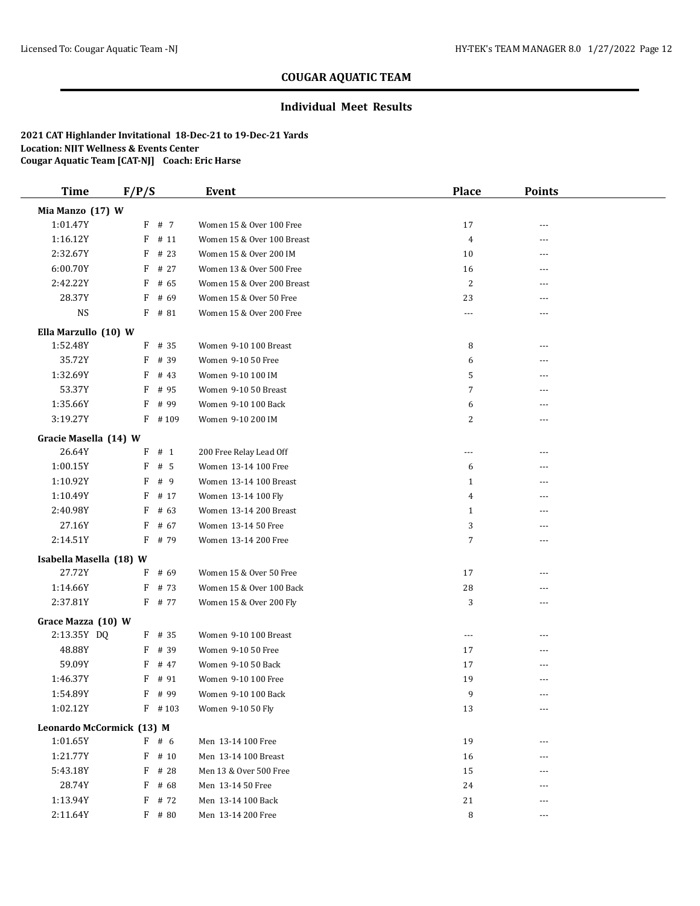### **Individual Meet Results**

| <b>Time</b>                       | F/P/S  |           | <b>Event</b>               | <b>Place</b>   | <b>Points</b> |  |
|-----------------------------------|--------|-----------|----------------------------|----------------|---------------|--|
| Mia Manzo (17) W                  |        |           |                            |                |               |  |
| 1:01.47Y                          |        | F # 7     | Women 15 & Over 100 Free   | 17             | ---           |  |
| 1:16.12Y                          |        | $F$ # 11  | Women 15 & Over 100 Breast | $\overline{4}$ | ---           |  |
| 2:32.67Y                          | F      | # 23      | Women 15 & Over 200 IM     | 10             | ---           |  |
| 6:00.70Y                          | F      | # 27      | Women 13 & Over 500 Free   | 16             | $---$         |  |
| 2:42.22Y                          | F      | # 65      | Women 15 & Over 200 Breast | 2              |               |  |
| 28.37Y                            | F      | # 69      | Women 15 & Over 50 Free    | 23             | ---           |  |
| <b>NS</b>                         |        | $F$ # 81  | Women 15 & Over 200 Free   | ---            | ---           |  |
| Ella Marzullo (10) W              |        |           |                            |                |               |  |
| 1:52.48Y                          |        | $F$ # 35  | Women 9-10 100 Breast      | 8              | ---           |  |
| 35.72Y                            | F      | # 39      | Women 9-10 50 Free         | 6              |               |  |
| 1:32.69Y                          | F      | # 43      | Women 9-10 100 IM          | 5              |               |  |
| 53.37Y                            | F      | # 95      | Women 9-10 50 Breast       | 7              | ---           |  |
| 1:35.66Y                          | F      | # 99      | Women 9-10 100 Back        | 6              | ---           |  |
| 3:19.27Y                          | F      | #109      | Women 9-10 200 IM          | 2              | $- - -$       |  |
| Gracie Masella (14) W             |        |           |                            |                |               |  |
| 26.64Y                            | F      | # 1       | 200 Free Relay Lead Off    | ---            | ---           |  |
| 1:00.15Y                          | F      | #5        | Women 13-14 100 Free       | 6              |               |  |
| 1:10.92Y                          | F      | # 9       | Women 13-14 100 Breast     | $\mathbf{1}$   | ---           |  |
| 1:10.49Y                          | F      | # 17      | Women 13-14 100 Fly        | 4              |               |  |
| 2:40.98Y                          | F      | # 63      | Women 13-14 200 Breast     | $\mathbf{1}$   |               |  |
| 27.16Y                            | F      | # 67      | Women 13-14 50 Free        | 3              |               |  |
| 2:14.51Y                          | F      | # 79      | Women 13-14 200 Free       | 7              | ---           |  |
|                                   |        |           |                            |                |               |  |
| Isabella Masella (18) W<br>27.72Y |        | # 69      | Women 15 & Over 50 Free    |                |               |  |
| 1:14.66Y                          | F<br>F | # 73      | Women 15 & Over 100 Back   | 17             |               |  |
| 2:37.81Y                          |        | F # 77    |                            | 28             | ---           |  |
|                                   |        |           | Women 15 & Over 200 Fly    | 3              | ---           |  |
| Grace Mazza (10) W                |        |           |                            |                |               |  |
| 2:13.35Y DQ                       |        | $F$ # 35  | Women 9-10 100 Breast      | $\cdots$       |               |  |
| 48.88Y                            | F      | # 39      | Women 9-10 50 Free         | 17             | ---           |  |
| 59.09Y                            | F      | # 47      | Women 9-10 50 Back         | 17             |               |  |
| 1:46.37Y                          | F      | # 91      | Women 9-10 100 Free        | 19             | ---           |  |
| 1:54.89Y                          | F      | # 99      | Women 9-10 100 Back        | 9              | $- - -$       |  |
| 1:02.12Y                          |        | $F$ # 103 | Women 9-10 50 Fly          | 13             | ---           |  |
| Leonardo McCormick (13) M         |        |           |                            |                |               |  |
| 1:01.65Y                          |        | F # 6     | Men 13-14 100 Free         | 19             | ---           |  |
| 1:21.77Y                          | F      | # 10      | Men 13-14 100 Breast       | 16             | ---           |  |
| 5:43.18Y                          | F      | # 28      | Men 13 & Over 500 Free     | 15             |               |  |
| 28.74Y                            |        | $F$ # 68  | Men 13-14 50 Free          | 24             |               |  |
| 1:13.94Y                          | F      | # 72      | Men 13-14 100 Back         | 21             | ---           |  |
| 2:11.64Y                          |        | $F$ # 80  | Men 13-14 200 Free         | 8              | $- - -$       |  |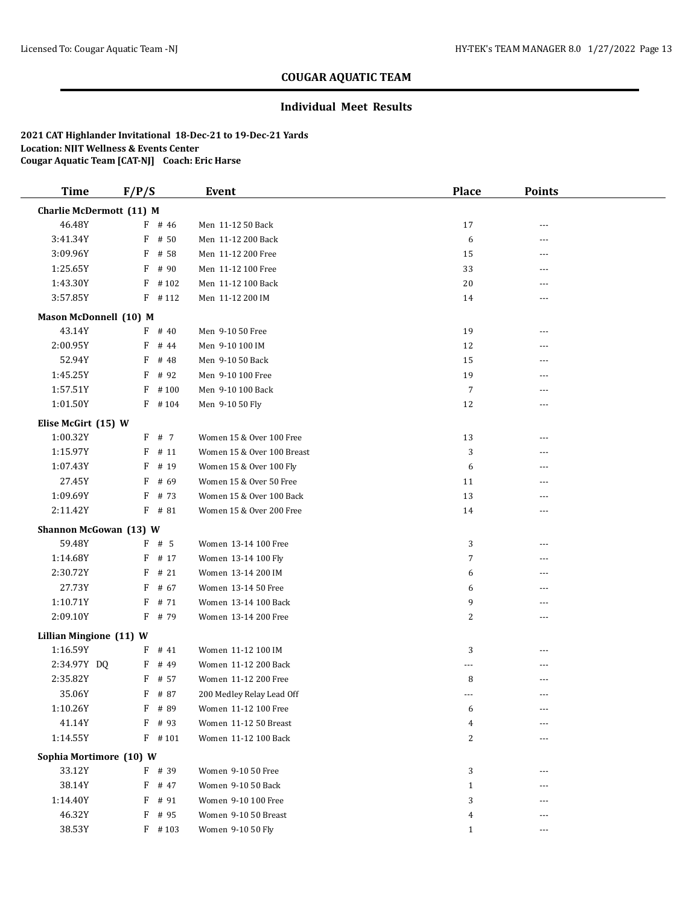### **Individual Meet Results**

| <b>Time</b>             | F/P/S                    |           | <b>Event</b>               | <b>Place</b> | <b>Points</b> |  |  |  |
|-------------------------|--------------------------|-----------|----------------------------|--------------|---------------|--|--|--|
|                         | Charlie McDermott (11) M |           |                            |              |               |  |  |  |
| 46.48Y                  |                          | $F$ # 46  | Men 11-12 50 Back          | 17           | ---           |  |  |  |
| 3:41.34Y                |                          | $F$ # 50  | Men 11-12 200 Back         | 6            | ---           |  |  |  |
| 3:09.96Y                | F                        | # 58      | Men 11-12 200 Free         | 15           | ---           |  |  |  |
| 1:25.65Y                | F                        | # 90      | Men 11-12 100 Free         | 33           | ---           |  |  |  |
| 1:43.30Y                |                          | $F$ #102  | Men 11-12 100 Back         | 20           | ---           |  |  |  |
| 3:57.85Y                |                          | $F$ #112  | Men 11-12 200 IM           | 14           | ---           |  |  |  |
| Mason McDonnell (10) M  |                          |           |                            |              |               |  |  |  |
| 43.14Y                  | F                        | # 40      | Men 9-10 50 Free           | 19           | ---           |  |  |  |
| 2:00.95Y                | F                        | # 44      | Men 9-10 100 IM            | 12           | ---           |  |  |  |
| 52.94Y                  | F                        | # 48      | Men 9-10 50 Back           | 15           | ---           |  |  |  |
| 1:45.25Y                | F                        | # 92      | Men 9-10 100 Free          | 19           |               |  |  |  |
| 1:57.51Y                | F                        | #100      | Men 9-10 100 Back          | $\sqrt{7}$   | ---           |  |  |  |
| 1:01.50Y                |                          | $F$ #104  | Men 9-10 50 Fly            | 12           | ---           |  |  |  |
| Elise McGirt (15) W     |                          |           |                            |              |               |  |  |  |
| 1:00.32Y                |                          | F # 7     | Women 15 & Over 100 Free   | 13           | ---           |  |  |  |
| 1:15.97Y                | F                        | # 11      | Women 15 & Over 100 Breast | 3            | ---           |  |  |  |
| 1:07.43Y                | F                        | # 19      | Women 15 & Over 100 Fly    | 6            | ---           |  |  |  |
| 27.45Y                  | F                        | # 69      | Women 15 & Over 50 Free    | 11           | ---           |  |  |  |
| 1:09.69Y                | F                        | # 73      | Women 15 & Over 100 Back   | 13           | ---           |  |  |  |
| 2:11.42Y                |                          | $F$ # 81  | Women 15 & Over 200 Free   | 14           | ---           |  |  |  |
| Shannon McGowan (13) W  |                          |           |                            |              |               |  |  |  |
| 59.48Y                  |                          | $F$ # 5   | Women 13-14 100 Free       | 3            | ---           |  |  |  |
| 1:14.68Y                | F                        | # 17      | Women 13-14 100 Fly        | 7            | ---           |  |  |  |
| 2:30.72Y                | F                        | # 21      | Women 13-14 200 IM         | 6            | ---           |  |  |  |
| 27.73Y                  | F                        | # 67      | Women 13-14 50 Free        | 6            | ---           |  |  |  |
| 1:10.71Y                | F                        | # 71      | Women 13-14 100 Back       | 9            | ---           |  |  |  |
| 2:09.10Y                |                          | $F$ # 79  | Women 13-14 200 Free       | 2            | ---           |  |  |  |
| Lillian Mingione (11) W |                          |           |                            |              |               |  |  |  |
| 1:16.59Y                |                          | $F$ # 41  | Women 11-12 100 IM         | 3            | ---           |  |  |  |
| 2:34.97Y DQ             |                          | $F$ # 49  | Women 11-12 200 Back       | ---          | ---           |  |  |  |
| 2:35.82Y                | F                        | # 57      | Women 11-12 200 Free       | 8            | ---           |  |  |  |
| 35.06Y                  |                          | $F$ # 87  | 200 Medley Relay Lead Off  | $- - -$      | $---$         |  |  |  |
| 1:10.26Y                | F                        | # 89      | Women 11-12 100 Free       | 6            | ---           |  |  |  |
| 41.14Y                  |                          | F # 93    | Women 11-12 50 Breast      | 4            |               |  |  |  |
| 1:14.55Y                |                          | $F$ # 101 | Women 11-12 100 Back       | 2            |               |  |  |  |
| Sophia Mortimore (10) W |                          |           |                            |              |               |  |  |  |
| 33.12Y                  |                          | F # 39    | Women 9-10 50 Free         | 3            | ---           |  |  |  |
| 38.14Y                  |                          | F # 47    | Women 9-10 50 Back         | $\mathbf{1}$ |               |  |  |  |
| 1:14.40Y                |                          | F # 91    | Women 9-10 100 Free        | 3            |               |  |  |  |
| 46.32Y                  | F                        | # 95      | Women 9-10 50 Breast       | 4            |               |  |  |  |
| 38.53Y                  |                          | $F$ # 103 | Women 9-10 50 Fly          | 1            | ---           |  |  |  |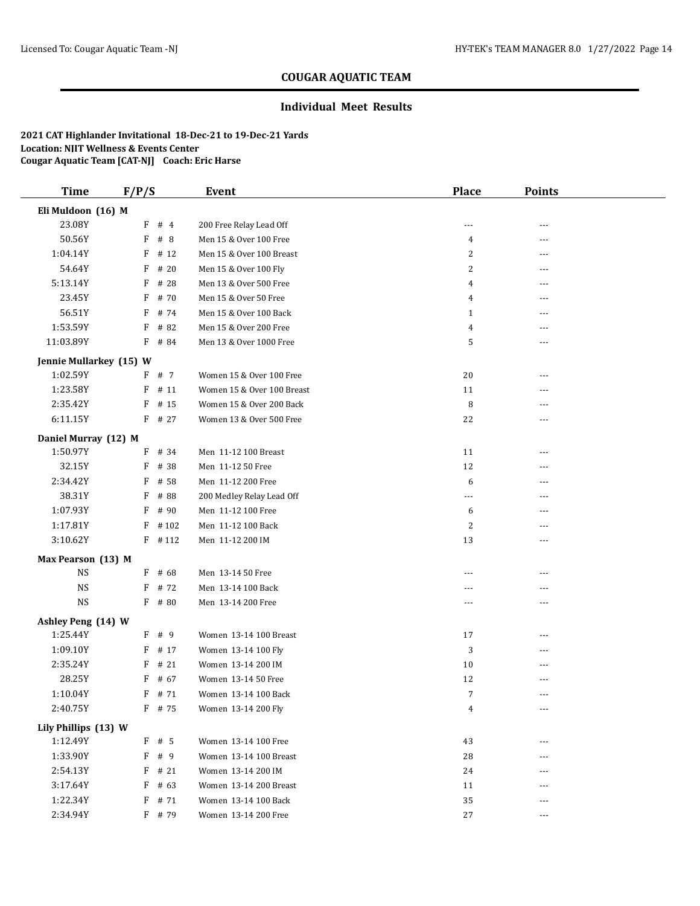### **Individual Meet Results**

| <b>Time</b>                    | F/P/S |                  | <b>Event</b>                                | <b>Place</b>         | <b>Points</b> |  |
|--------------------------------|-------|------------------|---------------------------------------------|----------------------|---------------|--|
| Eli Muldoon (16) M             |       |                  |                                             |                      |               |  |
| 23.08Y                         |       | $F$ # 4          | 200 Free Relay Lead Off                     | ---                  |               |  |
| 50.56Y                         | F     | #8               | Men 15 & Over 100 Free                      | 4                    | ---           |  |
| 1:04.14Y                       | F     | # 12             | Men 15 & Over 100 Breast                    | 2                    | ---           |  |
| 54.64Y                         | F     | # 20             | Men 15 & Over 100 Fly                       | $\overline{c}$       | ---           |  |
| 5:13.14Y                       | F     | # 28             | Men 13 & Over 500 Free                      | $\overline{4}$       | ---           |  |
| 23.45Y                         | F     | # 70             | Men 15 & Over 50 Free                       | $\overline{4}$       | ---           |  |
| 56.51Y                         | F     | # 74             | Men 15 & Over 100 Back                      | $\mathbf{1}$         | ---           |  |
| 1:53.59Y                       | F     | # 82             | Men 15 & Over 200 Free                      | $\overline{4}$       |               |  |
| 11:03.89Y                      | F     | # 84             | Men 13 & Over 1000 Free                     | 5                    | ---           |  |
| Jennie Mullarkey (15) W        |       |                  |                                             |                      |               |  |
| 1:02.59Y                       |       | F # 7            | Women 15 & Over 100 Free                    | 20                   | ---           |  |
| 1:23.58Y                       |       | $F$ # 11         | Women 15 & Over 100 Breast                  | 11                   |               |  |
| 2:35.42Y                       | F     | # 15             | Women 15 & Over 200 Back                    | 8                    | ---           |  |
| 6:11.15Y                       |       | $F$ # 27         | Women 13 & Over 500 Free                    | 22                   | ---           |  |
| Daniel Murray (12) M           |       |                  |                                             |                      |               |  |
| 1:50.97Y                       |       | $F$ # 34         | Men 11-12 100 Breast                        | 11                   | ---           |  |
| 32.15Y                         | F     | # 38             | Men 11-12 50 Free                           | 12                   | ---           |  |
| 2:34.42Y                       | F     | # 58             | Men 11-12 200 Free                          | 6                    | ---           |  |
| 38.31Y                         | F     | # 88             | 200 Medley Relay Lead Off                   | ---                  |               |  |
| 1:07.93Y                       | F     | # 90             | Men 11-12 100 Free                          | 6                    | ---           |  |
| 1:17.81Y                       | F     | #102             | Men 11-12 100 Back                          | 2                    | ---           |  |
| 3:10.62Y                       |       | $F$ #112         | Men 11-12 200 IM                            | 13                   |               |  |
| Max Pearson (13) M             |       |                  |                                             |                      |               |  |
| <b>NS</b>                      |       | $F$ # 68         | Men 13-14 50 Free                           | ---                  | ---           |  |
| <b>NS</b>                      |       | $F$ # 72         | Men 13-14 100 Back                          | $\cdots$             | ---           |  |
| <b>NS</b>                      |       | F # 80           | Men 13-14 200 Free                          | ---                  | ---           |  |
|                                |       |                  |                                             |                      |               |  |
| Ashley Peng (14) W<br>1:25.44Y |       |                  |                                             |                      |               |  |
| 1:09.10Y                       |       | F # 9            | Women 13-14 100 Breast                      | 17                   | ---           |  |
| 2:35.24Y                       |       | $F$ # 17         | Women 13-14 100 Fly                         | 3                    | ---           |  |
|                                | F     | # 21             | Women 13-14 200 IM                          | 10                   | ---           |  |
| 28.25Y<br>1:10.04Y             | F     | # 67<br>$F$ # 71 | Women 13-14 50 Free<br>Women 13-14 100 Back | 12<br>$\overline{7}$ |               |  |
|                                |       | F # 75           |                                             |                      | $\cdots$      |  |
| 2:40.75Y                       |       |                  | Women 13-14 200 Fly                         | $\overline{4}$       | ---           |  |
| Lily Phillips (13) W           |       |                  |                                             |                      |               |  |
| 1:12.49Y                       |       | $F$ # 5          | Women 13-14 100 Free                        | 43                   | ---           |  |
| 1:33.90Y                       |       | F # 9            | Women 13-14 100 Breast                      | 28                   | ---           |  |
| 2:54.13Y                       | F     | # 21             | Women 13-14 200 IM                          | 24                   | ---           |  |
| 3:17.64Y                       | F     | # 63             | Women 13-14 200 Breast                      | 11                   | ---           |  |
| 1:22.34Y                       |       | $F$ # 71         | Women 13-14 100 Back                        | 35                   |               |  |
| 2:34.94Y                       |       | F # 79           | Women 13-14 200 Free                        | 27                   | ---           |  |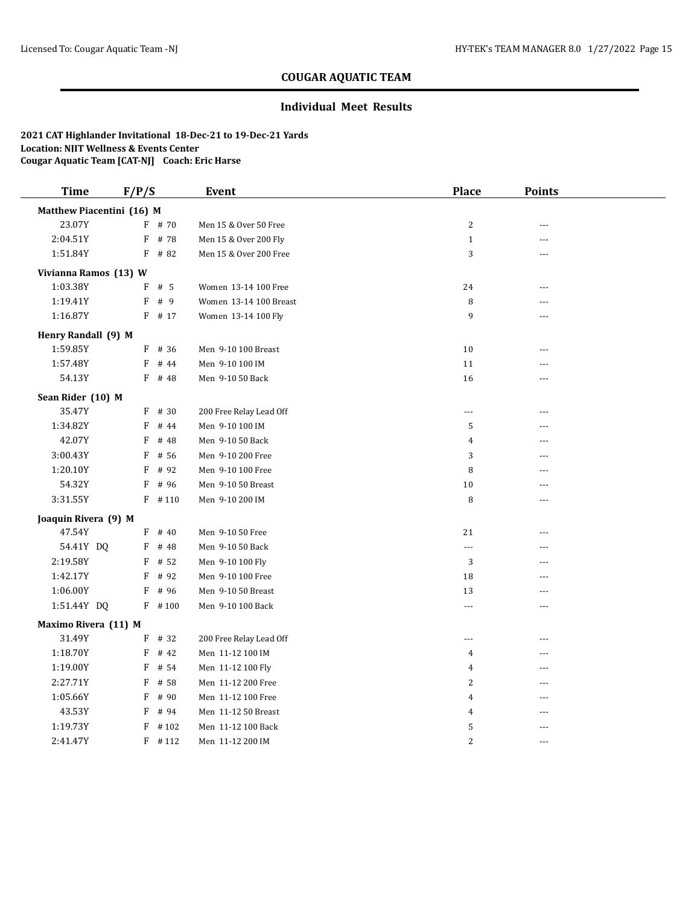### **Individual Meet Results**

| <b>Time</b>               | F/P/S |           | <b>Event</b>            | <b>Place</b>   | <b>Points</b>  |  |
|---------------------------|-------|-----------|-------------------------|----------------|----------------|--|
| Matthew Piacentini (16) M |       |           |                         |                |                |  |
| 23.07Y                    |       | $F$ # 70  | Men 15 & Over 50 Free   | $\sqrt{2}$     | ---            |  |
| 2:04.51Y                  | F     | # 78      | Men 15 & Over 200 Fly   | $\mathbf{1}$   | ---            |  |
| 1:51.84Y                  |       | $F$ # 82  | Men 15 & Over 200 Free  | 3              | $- - -$        |  |
| Vivianna Ramos (13) W     |       |           |                         |                |                |  |
| 1:03.38Y                  |       | $F$ # 5   | Women 13-14 100 Free    | 24             | ---            |  |
| 1:19.41Y                  |       | $F$ # 9   | Women 13-14 100 Breast  | 8              | ---            |  |
| 1:16.87Y                  |       | $F$ # 17  | Women 13-14 100 Fly     | 9              |                |  |
| Henry Randall (9) M       |       |           |                         |                |                |  |
| 1:59.85Y                  |       | $F$ # 36  | Men 9-10 100 Breast     | 10             | ---            |  |
| 1:57.48Y                  |       | $F$ # 44  | Men 9-10 100 IM         | 11             |                |  |
| 54.13Y                    |       | $F$ # 48  | Men 9-10 50 Back        | 16             | ---            |  |
| Sean Rider (10) M         |       |           |                         |                |                |  |
| 35.47Y                    |       | $F$ # 30  | 200 Free Relay Lead Off | $\overline{a}$ | $- - -$        |  |
| 1:34.82Y                  | F     | # 44      | Men 9-10 100 IM         | 5              | ---            |  |
| 42.07Y                    | F     | # 48      | Men 9-10 50 Back        | 4              | ---            |  |
| 3:00.43Y                  | F     | # 56      | Men 9-10 200 Free       | 3              |                |  |
| 1:20.10Y                  | F     | # 92      | Men 9-10 100 Free       | 8              | ---            |  |
| 54.32Y                    | F     | # 96      | Men 9-10 50 Breast      | 10             | $---$          |  |
| 3:31.55Y                  |       | $F$ # 110 | Men 9-10 200 IM         | 8              | $- - -$        |  |
| Joaquin Rivera (9) M      |       |           |                         |                |                |  |
| 47.54Y                    |       | $F$ # 40  | Men 9-10 50 Free        | 21             | ---            |  |
| 54.41Y DQ                 |       | F # 48    | Men 9-10 50 Back        | $-1$           | $---$          |  |
| 2:19.58Y                  |       | $F$ # 52  | Men 9-10 100 Fly        | 3              | $---$          |  |
| 1:42.17Y                  | F     | # 92      | Men 9-10 100 Free       | 18             | $---$          |  |
| 1:06.00Y                  | F     | # 96      | Men 9-10 50 Breast      | 13             | ---            |  |
| 1:51.44Y DQ               |       | $F$ #100  | Men 9-10 100 Back       | ---            | ---            |  |
| Maximo Rivera (11) M      |       |           |                         |                |                |  |
| 31.49Y                    |       | $F$ # 32  | 200 Free Relay Lead Off | ---            | $\sim$ $\sim$  |  |
| 1:18.70Y                  | F     | # 42      | Men 11-12 100 IM        | 4              | $\overline{a}$ |  |
| 1:19.00Y                  | F     | # 54      | Men 11-12 100 Fly       | 4              | ÷÷             |  |
| 2:27.71Y                  | F     | # 58      | Men 11-12 200 Free      | 2              | ---            |  |
| 1:05.66Y                  | F     | # 90      | Men 11-12 100 Free      | $\overline{4}$ | ---            |  |
| 43.53Y                    | F     | # 94      | Men 11-12 50 Breast     | 4              | $---$          |  |
| 1:19.73Y                  |       | $F$ # 102 | Men 11-12 100 Back      | 5              | $---$          |  |
| 2:41.47Y                  |       | $F$ #112  | Men 11-12 200 IM        | $\overline{c}$ | $- - -$        |  |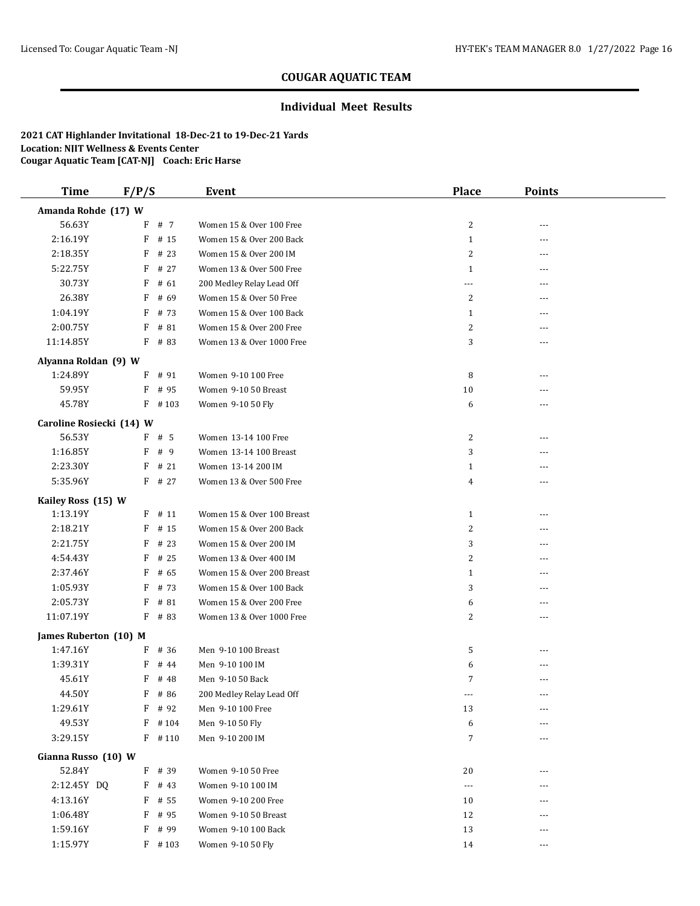#### **Individual Meet Results**

| <b>Time</b>                       | F/P/S |              | <b>Event</b>               | <b>Place</b>   | <b>Points</b>  |  |
|-----------------------------------|-------|--------------|----------------------------|----------------|----------------|--|
| Amanda Rohde (17) W               |       |              |                            |                |                |  |
| 56.63Y                            |       | F # 7        | Women 15 & Over 100 Free   | 2              | ---            |  |
| 2:16.19Y                          | F     | # 15         | Women 15 & Over 200 Back   | $\mathbf{1}$   | ---            |  |
| 2:18.35Y                          | F     | # 23         | Women 15 & Over 200 IM     | 2              | ---            |  |
| 5:22.75Y                          | F     | # 27         | Women 13 & Over 500 Free   | $\mathbf{1}$   | $---$          |  |
| 30.73Y                            | F     | # 61         | 200 Medley Relay Lead Off  | ---            |                |  |
| 26.38Y                            | F     | # 69         | Women 15 & Over 50 Free    | 2              | ---            |  |
| 1:04.19Y                          | F     | # 73         | Women 15 & Over 100 Back   | $\mathbf{1}$   | ---            |  |
| 2:00.75Y                          | F     | # 81         | Women 15 & Over 200 Free   | 2              |                |  |
| 11:14.85Y                         | F     | # 83         | Women 13 & Over 1000 Free  | 3              | ---            |  |
| Alyanna Roldan (9) W              |       |              |                            |                |                |  |
| 1:24.89Y                          |       | F # 91       | Women 9-10 100 Free        | 8              |                |  |
| 59.95Y                            | F     | # 95         | Women 9-10 50 Breast       | 10             | ---            |  |
| 45.78Y                            |       | $F$ # 103    | Women 9-10 50 Fly          | 6              | $---$          |  |
| Caroline Rosiecki (14) W          |       |              |                            |                |                |  |
| 56.53Y                            |       | F # 5        | Women 13-14 100 Free       | 2              |                |  |
| 1:16.85Y                          | F     | #9           | Women 13-14 100 Breast     | 3              |                |  |
| 2:23.30Y                          | F     | #21          | Women 13-14 200 IM         | $\mathbf{1}$   |                |  |
| 5:35.96Y                          | F     | # 27         | Women 13 & Over 500 Free   | 4              | ---            |  |
| Kailey Ross (15) W                |       |              |                            |                |                |  |
| 1:13.19Y                          |       | $F$ # 11     | Women 15 & Over 100 Breast | $\mathbf{1}$   | $---$          |  |
| 2:18.21Y                          | F     | # 15         | Women 15 & Over 200 Back   | 2              | $\overline{a}$ |  |
| 2:21.75Y                          | F     | # 23         | Women 15 & Over 200 IM     | 3              | $---$          |  |
| 4:54.43Y                          | F     | # 25         | Women 13 & Over 400 IM     | $\overline{2}$ | ---            |  |
| 2:37.46Y                          | F     | # 65         | Women 15 & Over 200 Breast | $\mathbf{1}$   |                |  |
| 1:05.93Y                          | F     | # 73         | Women 15 & Over 100 Back   | 3              | ---            |  |
| 2:05.73Y                          | F     | # 81         | Women 15 & Over 200 Free   | 6              |                |  |
| 11:07.19Y                         | F     | # 83         | Women 13 & Over 1000 Free  | 2              | $---$          |  |
|                                   |       |              |                            |                |                |  |
| James Ruberton (10) M<br>1:47.16Y | F     | # 36         | Men 9-10 100 Breast        | 5              | ---            |  |
| 1:39.31Y                          | F     | # 44         | Men 9-10 100 IM            | 6              |                |  |
| 45.61Y                            | F     | # 48         | Men 9-10 50 Back           | 7              | ---            |  |
| 44.50Y                            | F     | # 86         | 200 Medley Relay Lead Off  | ---            | $- - -$        |  |
| 1:29.61Y                          |       | F # 92       | Men 9-10 100 Free          | 13             |                |  |
| 49.53Y                            |       | $F$ #104     | Men 9-10 50 Fly            | 6              |                |  |
| 3:29.15Y                          |       | $F$ # 110    | Men 9-10 200 IM            | $\overline{7}$ |                |  |
|                                   |       |              |                            |                |                |  |
| Gianna Russo (10) W               |       |              |                            |                |                |  |
| 52.84Y                            |       | F # 39       | Women 9-10 50 Free         | 20             | $\overline{a}$ |  |
| 2:12.45Y DQ                       |       | $F$ # 43     | Women 9-10 100 IM          | $\cdots$       |                |  |
| 4:13.16Y                          | F     | # 55         | Women 9-10 200 Free        | 10             |                |  |
| 1:06.48Y<br>1:59.16Y              | F     | # 95<br># 99 | Women 9-10 50 Breast       | 12             |                |  |
|                                   | F     | $F$ #103     | Women 9-10 100 Back        | 13             | ---            |  |
| 1:15.97Y                          |       |              | Women 9-10 50 Fly          | 14             | $---$          |  |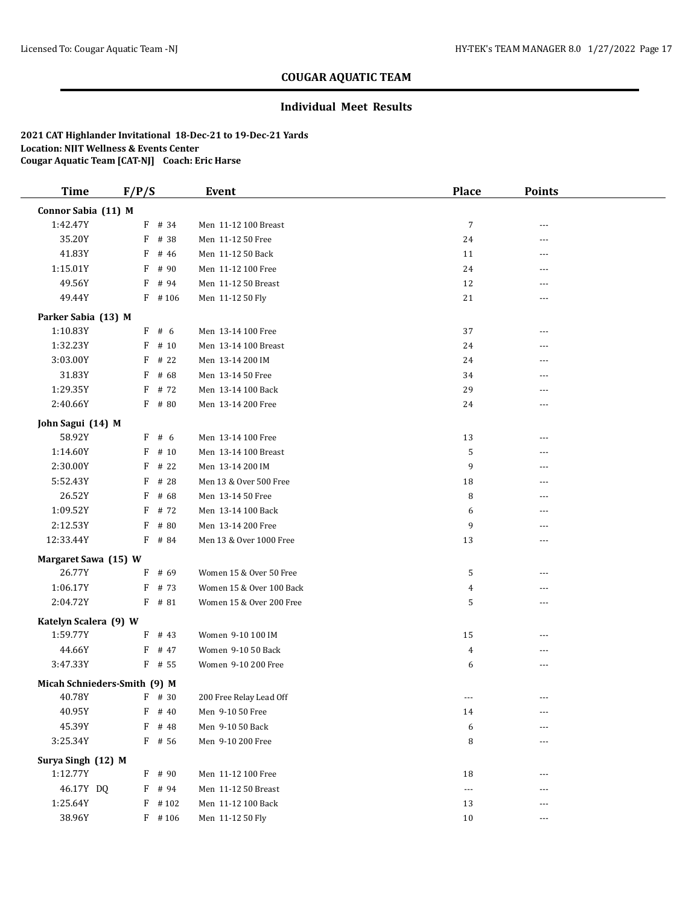### **Individual Meet Results**

| <b>Time</b>           | F/P/S                        | Event                    | <b>Place</b>   | <b>Points</b> |  |  |  |
|-----------------------|------------------------------|--------------------------|----------------|---------------|--|--|--|
| Connor Sabia (11) M   |                              |                          |                |               |  |  |  |
| 1:42.47Y              | $F$ # 34                     | Men 11-12 100 Breast     | $\overline{7}$ | ---           |  |  |  |
| 35.20Y                | F<br># 38                    | Men 11-12 50 Free        | 24             | $---$         |  |  |  |
| 41.83Y                | # 46<br>F                    | Men 11-12 50 Back        | 11             | $\cdots$      |  |  |  |
| 1:15.01Y              | F<br># 90                    | Men 11-12 100 Free       | 24             | ---           |  |  |  |
| 49.56Y                | F<br># 94                    | Men 11-12 50 Breast      | 12             | $---$         |  |  |  |
| 49.44Y                | $F$ #106                     | Men 11-12 50 Fly         | 21             | ---           |  |  |  |
| Parker Sabia (13) M   |                              |                          |                |               |  |  |  |
| 1:10.83Y              | F#6                          | Men 13-14 100 Free       | 37             | ---           |  |  |  |
| 1:32.23Y              | # 10<br>F                    | Men 13-14 100 Breast     | 24             | $---$         |  |  |  |
| 3:03.00Y              | $F$ # 22                     | Men 13-14 200 IM         | 24             |               |  |  |  |
| 31.83Y                | F<br># 68                    | Men 13-14 50 Free        | 34             |               |  |  |  |
| 1:29.35Y              | F<br># 72                    | Men 13-14 100 Back       | 29             | ---           |  |  |  |
| 2:40.66Y              | $F$ # 80                     | Men 13-14 200 Free       | 24             | ---           |  |  |  |
| John Sagui (14) M     |                              |                          |                |               |  |  |  |
| 58.92Y                | F#6                          | Men 13-14 100 Free       | 13             | ---           |  |  |  |
| 1:14.60Y              | F<br># 10                    | Men 13-14 100 Breast     | 5              | ---           |  |  |  |
| 2:30.00Y              | F<br># 22                    | Men 13-14 200 IM         | 9              | ---           |  |  |  |
| 5:52.43Y              | F<br># 28                    | Men 13 & Over 500 Free   | 18             | $---$         |  |  |  |
| 26.52Y                | F<br># 68                    | Men 13-14 50 Free        | 8              | ---           |  |  |  |
| 1:09.52Y              | F<br># 72                    | Men 13-14 100 Back       | 6              |               |  |  |  |
| 2:12.53Y              | $F$ # 80                     | Men 13-14 200 Free       | 9              | ---           |  |  |  |
| 12:33.44Y             | F # 84                       | Men 13 & Over 1000 Free  | 13             | ---           |  |  |  |
| Margaret Sawa (15) W  |                              |                          |                |               |  |  |  |
| 26.77Y                | $F$ # 69                     | Women 15 & Over 50 Free  | 5              | ---           |  |  |  |
| 1:06.17Y              | $F$ # 73                     | Women 15 & Over 100 Back | 4              | $---$         |  |  |  |
| 2:04.72Y              | $F$ # 81                     | Women 15 & Over 200 Free | 5              | ---           |  |  |  |
| Katelyn Scalera (9) W |                              |                          |                |               |  |  |  |
| 1:59.77Y              | $F$ # 43                     | Women 9-10 100 IM        | 15             | ---           |  |  |  |
| 44.66Y                | F # 47                       | Women 9-10 50 Back       | 4              | ---           |  |  |  |
| 3:47.33Y              | $F$ # 55                     | Women 9-10 200 Free      | 6              | ---           |  |  |  |
|                       | Micah Schnieders-Smith (9) M |                          |                |               |  |  |  |
| 40.78Y                | $F$ # 30                     | 200 Free Relay Lead Off  | ---            | $\cdots$      |  |  |  |
| 40.95Y                | $F$ # 40                     | Men 9-10 50 Free         | 14             | ---           |  |  |  |
| 45.39Y                | F # 48                       | Men 9-10 50 Back         | 6              |               |  |  |  |
| 3:25.34Y              | F # 56                       | Men 9-10 200 Free        | 8              | ---           |  |  |  |
| Surya Singh (12) M    |                              |                          |                |               |  |  |  |
| 1:12.77Y              | $F$ # 90                     | Men 11-12 100 Free       | 18             |               |  |  |  |
| 46.17Y DQ             | $F$ # 94                     | Men 11-12 50 Breast      | ---            |               |  |  |  |
| 1:25.64Y              | $F$ # 102                    | Men 11-12 100 Back       | 13             | $---$         |  |  |  |
| 38.96Y                | $F$ # 106                    | Men 11-12 50 Fly         | $10\,$         | ---           |  |  |  |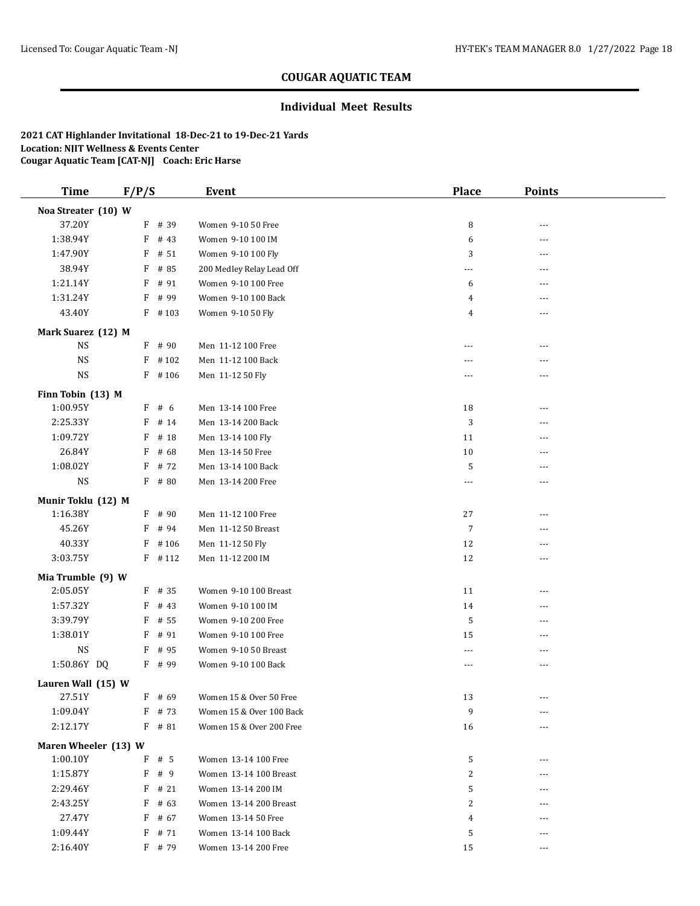### **Individual Meet Results**

| <b>Time</b>                   | F/P/S |           | <b>Event</b>              | Place          | <b>Points</b> |
|-------------------------------|-------|-----------|---------------------------|----------------|---------------|
| Noa Streater (10) W           |       |           |                           |                |               |
| 37.20Y                        |       | F # 39    | Women 9-10 50 Free        | 8              | ---           |
| 1:38.94Y                      | F     | # 43      | Women 9-10 100 IM         | 6              | ---           |
| 1:47.90Y                      | F     | # 51      | Women 9-10 100 Fly        | 3              | ---           |
| 38.94Y                        |       | $F$ # 85  | 200 Medley Relay Lead Off | ---            | ---           |
| 1:21.14Y                      |       | $F$ # 91  | Women 9-10 100 Free       | 6              | ---           |
| 1:31.24Y                      | F     | # 99      | Women 9-10 100 Back       | 4              | ---           |
| 43.40Y                        |       | $F$ # 103 | Women 9-10 50 Fly         | 4              | ---           |
| Mark Suarez (12) M            |       |           |                           |                |               |
| <b>NS</b>                     |       | $F$ # 90  | Men 11-12 100 Free        | ---            |               |
| <b>NS</b>                     |       | $F$ #102  | Men 11-12 100 Back        | ---            | ---           |
| <b>NS</b>                     |       | $F$ #106  | Men 11-12 50 Fly          | ---            | ---           |
|                               |       |           |                           |                |               |
| Finn Tobin (13) M<br>1:00.95Y |       | $F$ # 6   | Men 13-14 100 Free        | 18             | ---           |
| 2:25.33Y                      |       | $F$ # 14  | Men 13-14 200 Back        | 3              | ---           |
| 1:09.72Y                      | F     | # 18      | Men 13-14 100 Fly         | 11             | ---           |
| 26.84Y                        | F     | # 68      | Men 13-14 50 Free         | 10             |               |
| 1:08.02Y                      | F     | # 72      | Men 13-14 100 Back        | 5              | ---           |
| $_{\rm NS}$                   |       | F # 80    | Men 13-14 200 Free        | $\overline{a}$ | ---           |
|                               |       |           |                           |                |               |
| Munir Toklu (12) M            |       |           |                           |                |               |
| 1:16.38Y                      |       | $F$ # 90  | Men 11-12 100 Free        | 27             | ---           |
| 45.26Y                        |       | $F$ # 94  | Men 11-12 50 Breast       | $\overline{7}$ | ---           |
| 40.33Y                        |       | $F$ #106  | Men 11-12 50 Fly          | 12             | ---           |
| 3:03.75Y                      |       | $F$ # 112 | Men 11-12 200 IM          | 12             | ---           |
| Mia Trumble (9) W             |       |           |                           |                |               |
| 2:05.05Y                      |       | $F$ # 35  | Women 9-10 100 Breast     | 11             |               |
| 1:57.32Y                      |       | $F$ # 43  | Women 9-10 100 IM         | 14             | ---           |
| 3:39.79Y                      |       | $F$ # 55  | Women 9-10 200 Free       | 5              | ---           |
| 1:38.01Y                      |       | F # 91    | Women 9-10 100 Free       | 15             | ---           |
| <b>NS</b>                     |       | $F$ # 95  | Women 9-10 50 Breast      | ---            | ---           |
| 1:50.86Y DQ                   |       | F # 99    | Women 9-10 100 Back       | $- - -$        | $\cdots$      |
| Lauren Wall (15) W            |       |           |                           |                |               |
| 27.51Y                        |       | $F$ # 69  | Women 15 & Over 50 Free   | 13             |               |
| 1:09.04Y                      |       | $F$ # 73  | Women 15 & Over 100 Back  | 9              | $\cdots$      |
| 2:12.17Y                      |       | F # 81    | Women 15 & Over 200 Free  | 16             |               |
| Maren Wheeler (13) W          |       |           |                           |                |               |
| 1:00.10Y                      |       | $F$ # 5   | Women 13-14 100 Free      | 5              |               |
| 1:15.87Y                      |       | F # 9     | Women 13-14 100 Breast    | 2              |               |
| 2:29.46Y                      | F     | # 21      | Women 13-14 200 IM        | 5              |               |
| 2:43.25Y                      |       | $F$ # 63  | Women 13-14 200 Breast    | 2              |               |
| 27.47Y                        |       | $F$ # 67  | Women 13-14 50 Free       | 4              |               |
| 1:09.44Y                      |       | $F$ # 71  | Women 13-14 100 Back      | 5              |               |
| 2:16.40Y                      |       | F # 79    | Women 13-14 200 Free      | 15             | ---           |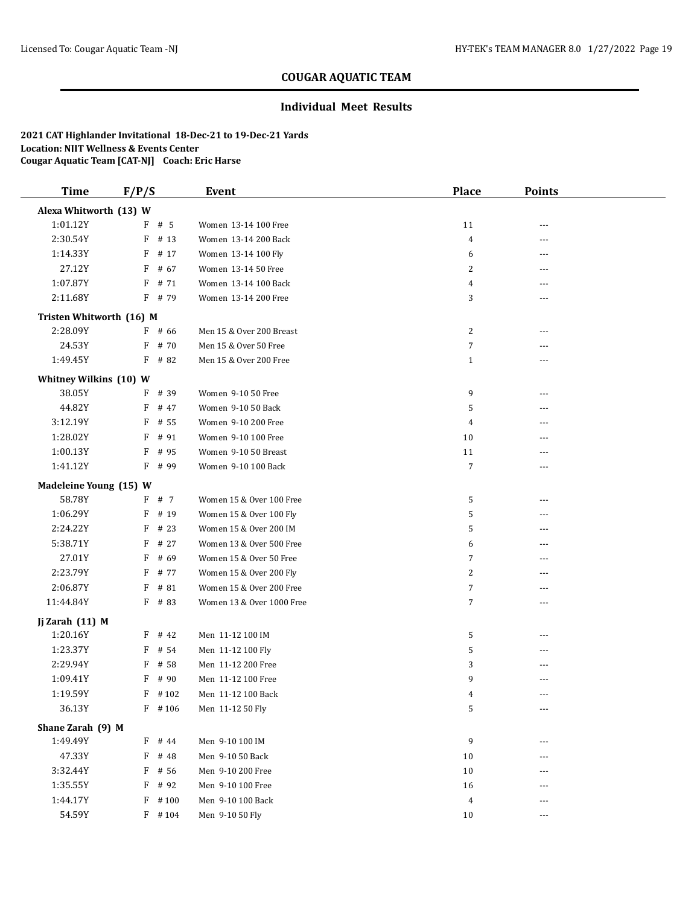### **Individual Meet Results**

| <b>Time</b>                 | F/P/S             | Event                               | <b>Place</b>   | <b>Points</b> |  |
|-----------------------------|-------------------|-------------------------------------|----------------|---------------|--|
| Alexa Whitworth (13) W      |                   |                                     |                |               |  |
| 1:01.12Y                    | $F$ # 5           | Women 13-14 100 Free                | 11             | ---           |  |
| 2:30.54Y                    | $F$ # 13          | Women 13-14 200 Back                | 4              | ---           |  |
| 1:14.33Y                    | F<br># 17         | Women 13-14 100 Fly                 | 6              | ---           |  |
| 27.12Y                      | F<br># 67         | Women 13-14 50 Free                 | 2              | ---           |  |
| 1:07.87Y                    | F<br># 71         | Women 13-14 100 Back                | 4              | ---           |  |
| 2:11.68Y                    | $F$ # 79          | Women 13-14 200 Free                | 3              | ---           |  |
| Tristen Whitworth (16) M    |                   |                                     |                |               |  |
| 2:28.09Y                    | $F$ # 66          | Men 15 & Over 200 Breast            | 2              | ---           |  |
| 24.53Y                      | # 70<br>F         | Men 15 & Over 50 Free               | 7              | ---           |  |
| 1:49.45Y                    | $F$ # 82          | Men 15 & Over 200 Free              | $\mathbf{1}$   | ---           |  |
| Whitney Wilkins (10) W      |                   |                                     |                |               |  |
| 38.05Y                      | # 39<br>F         | Women 9-10 50 Free                  | 9              | ---           |  |
| 44.82Y                      | F<br># 47         | Women 9-10 50 Back                  | 5              | ---           |  |
| 3:12.19Y                    | F<br># 55         | Women 9-10 200 Free                 | 4              | ---           |  |
| 1:28.02Y                    | F<br># 91         | Women 9-10 100 Free                 | 10             | ---           |  |
| 1:00.13Y                    | F<br># 95         | Women 9-10 50 Breast                | 11             | ---           |  |
| 1:41.12Y                    | $F$ # 99          | Women 9-10 100 Back                 | 7              |               |  |
| Madeleine Young (15) W      |                   |                                     |                |               |  |
| 58.78Y                      | F # 7             | Women 15 & Over 100 Free            | 5              | ---           |  |
| 1:06.29Y                    | F<br># 19         | Women 15 & Over 100 Fly             | 5              | ---           |  |
| 2:24.22Y                    | # 23<br>F         | Women 15 & Over 200 IM              | 5              | ---           |  |
| 5:38.71Y                    | F<br># 27         | Women 13 & Over 500 Free            | 6              | ---           |  |
| 27.01Y                      | # 69<br>F         | Women 15 & Over 50 Free             | 7              | ---           |  |
| 2:23.79Y                    | F<br># 77         | Women 15 & Over 200 Fly             | 2              | ---           |  |
| 2:06.87Y                    | # 81<br>F         | Women 15 & Over 200 Free            | 7              | ---           |  |
| 11:44.84Y                   | $F$ # 83          | Women 13 & Over 1000 Free           | 7              | ---           |  |
|                             |                   |                                     |                |               |  |
| Jj Zarah (11) M<br>1:20.16Y | # 42<br>F         | Men 11-12 100 IM                    | 5              | ---           |  |
| 1:23.37Y                    | F<br># 54         | Men 11-12 100 Fly                   | 5              | ---           |  |
| 2:29.94Y                    | F<br># 58         | Men 11-12 200 Free                  | 3              | ---           |  |
| 1:09.41Y                    | # 90<br>F         | Men 11-12 100 Free                  | 9              | ---           |  |
| 1:19.59Y                    | $F$ #102          | Men 11-12 100 Back                  | 4              | $- - -$       |  |
| 36.13Y                      | $F$ #106          | Men 11-12 50 Fly                    | 5              | ---           |  |
|                             |                   |                                     |                |               |  |
| Shane Zarah (9) M           |                   |                                     |                |               |  |
| 1:49.49Y                    | F # 44            | Men 9-10 100 IM<br>Men 9-10 50 Back | 9              | ---           |  |
| 47.33Y                      | F<br># 48<br>F    | Men 9-10 200 Free                   | 10             | ---           |  |
| 3:32.44Y<br>1:35.55Y        | # 56<br>F<br># 92 | Men 9-10 100 Free                   | 10<br>16       | ---           |  |
|                             |                   | Men 9-10 100 Back                   |                | ---           |  |
| 1:44.17Y                    | $F$ #100          |                                     | $\overline{4}$ | ---           |  |
| 54.59Y                      | $F$ #104          | Men 9-10 50 Fly                     | 10             | ---           |  |